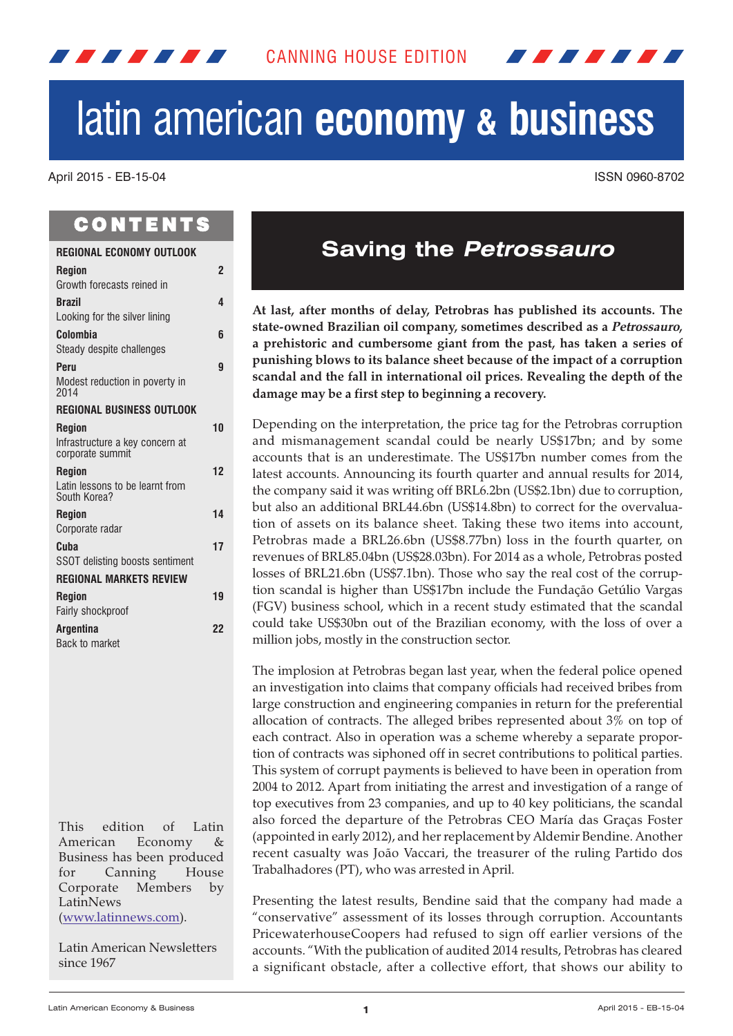

# latin american **economy & business**

April 2015 - EB-15-04 ISSN 0960-8702

# **CONTENTS**

12 M M M M M

| <b>REGIONAL ECONOMY OUTLOOK</b>                     |                |
|-----------------------------------------------------|----------------|
| <b>Region</b>                                       | $\overline{2}$ |
| Growth forecasts reined in                          |                |
| <b>Brazil</b>                                       | 4              |
| Looking for the silver lining                       |                |
| Colombia                                            | 6              |
| Steady despite challenges                           |                |
| Peru                                                | 9              |
| Modest reduction in poverty in<br>2014              |                |
| <b>REGIONAL BUSINESS OUTLOOK</b>                    |                |
| <b>Region</b>                                       | 10             |
| Infrastructure a key concern at<br>corporate summit |                |
| <b>Region</b>                                       | 12             |
| Latin lessons to be learnt from<br>South Korea?     |                |
| <b>Region</b>                                       | 14             |
| Corporate radar                                     |                |
| Cuba                                                | 17             |
| SSOT delisting boosts sentiment                     |                |
| <b>REGIONAL MARKETS REVIEW</b>                      |                |
| <b>Region</b>                                       | 19             |
| Fairly shockproof                                   |                |
| <b>Argentina</b>                                    | 22             |
| Back to market                                      |                |

This edition of Latin American Economy & Business has been produced for Canning House Corporate Members by LatinNews (www.latinnews.com).

Latin American Newsletters since 1967

# **Saving the Petrossauro**

**At last, after months of delay, Petrobras has published its accounts. The state-owned Brazilian oil company, sometimes described as a Petrossauro, a prehistoric and cumbersome giant from the past, has taken a series of punishing blows to its balance sheet because of the impact of a corruption scandal and the fall in international oil prices. Revealing the depth of the damage may be a first step to beginning a recovery.**

Depending on the interpretation, the price tag for the Petrobras corruption and mismanagement scandal could be nearly US\$17bn; and by some accounts that is an underestimate. The US\$17bn number comes from the latest accounts. Announcing its fourth quarter and annual results for 2014, the company said it was writing off BRL6.2bn (US\$2.1bn) due to corruption, but also an additional BRL44.6bn (US\$14.8bn) to correct for the overvaluation of assets on its balance sheet. Taking these two items into account, Petrobras made a BRL26.6bn (US\$8.77bn) loss in the fourth quarter, on revenues of BRL85.04bn (US\$28.03bn). For 2014 as a whole, Petrobras posted losses of BRL21.6bn (US\$7.1bn). Those who say the real cost of the corruption scandal is higher than US\$17bn include the Fundação Getúlio Vargas (FGV) business school, which in a recent study estimated that the scandal could take US\$30bn out of the Brazilian economy, with the loss of over a million jobs, mostly in the construction sector.

The implosion at Petrobras began last year, when the federal police opened an investigation into claims that company officials had received bribes from large construction and engineering companies in return for the preferential allocation of contracts. The alleged bribes represented about 3% on top of each contract. Also in operation was a scheme whereby a separate proportion of contracts was siphoned off in secret contributions to political parties. This system of corrupt payments is believed to have been in operation from 2004 to 2012. Apart from initiating the arrest and investigation of a range of top executives from 23 companies, and up to 40 key politicians, the scandal also forced the departure of the Petrobras CEO María das Graças Foster (appointed in early 2012), and herreplacement by Aldemir Bendine. Another recent casualty was João Vaccari, the treasurer of the ruling Partido dos Trabalhadores (PT), who was arrested in April.

Presenting the latest results, Bendine said that the company had made a "conservative" assessment of its losses through corruption. Accountants PricewaterhouseCoopers had refused to sign off earlier versions of the accounts. "With the publication of audited 2014 results, Petrobras has cleared a significant obstacle, after a collective effort, that shows our ability to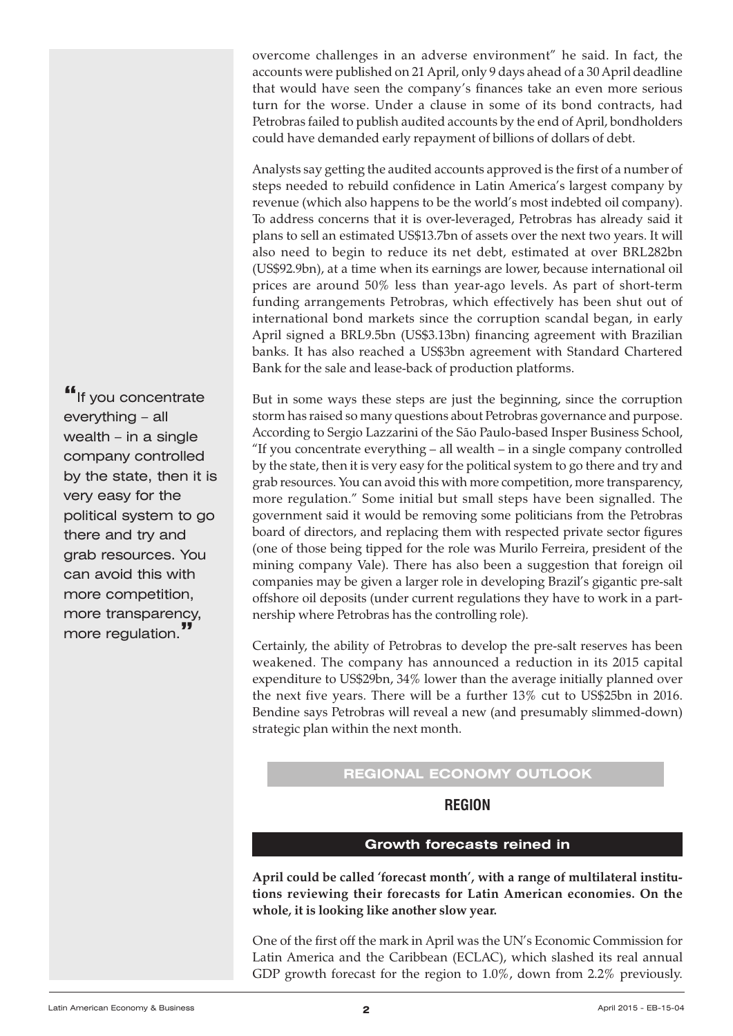<span id="page-1-0"></span>overcome challenges in an adverse environment" he said. In fact, the accounts were published on 21 April, only 9 days ahead of a 30 April deadline that would have seen the company's finances take an even more serious turn for the worse. Under a clause in some of its bond contracts, had Petrobras failed to publish audited accounts by the end of April, bondholders could have demanded early repayment of billions of dollars of debt.

Analysts say getting the audited accounts approved is the first of a number of steps needed to rebuild confidence in Latin America's largest company by revenue (which also happens to be the world's most indebted oil company). To address concerns that it is over-leveraged, Petrobras has already said it plans to sell an estimated US\$13.7bn of assets over the next two years. It will also need to begin to reduce its net debt, estimated at over BRL282bn (US\$92.9bn), at a time when its earnings are lower, because international oil prices are around 50% less than year-ago levels. As part of short-term funding arrangements Petrobras, which effectively has been shut out of international bond markets since the corruption scandal began, in early April signed a BRL9.5bn (US\$3.13bn) financing agreement with Brazilian banks. It has also reached a US\$3bn agreement with Standard Chartered Bank for the sale and lease-back of production platforms.

But in some ways these steps are just the beginning, since the corruption storm has raised so many questions about Petrobras governance and purpose. According to Sergio Lazzarini of the São Paulo-based Insper Business School, "If you concentrate everything – all wealth – in a single company controlled by the state, then it is very easy for the political system to go there and try and grab resources. You can avoid this with more competition, more transparency, more regulation." Some initial but small steps have been signalled. The government said it would be removing some politicians from the Petrobras board of directors, and replacing them with respected private sector figures (one of those being tipped for the role was Murilo Ferreira, president of the mining company Vale). There has also been a suggestion that foreign oil companies may be given a larger role in developing Brazil's gigantic pre-salt offshore oil deposits (under current regulations they have to work in a partnership where Petrobras has the controlling role).

Certainly, the ability of Petrobras to develop the pre-salt reserves has been weakened. The company has announced a reduction in its 2015 capital expenditure to US\$29bn, 34% lower than the average initially planned over the next five years. There will be a further 13% cut to US\$25bn in 2016. Bendine says Petrobras will reveal a new (and presumably slimmed-down) strategic plan within the next month.

# **REGIONAL ECONOMY OUTLOOK**

**REGION**

# **Growth forecasts reined in**

**April could be called 'forecast month', with a range of multilateral institutions reviewing their forecasts for Latin American economies. On the whole, it is looking like another slow year.**

One of the first off the mark in April was the UN's Economic Commission for Latin America and the Caribbean (ECLAC), which slashed its real annual GDP growth forecast for the region to 1.0%, down from 2.2% previously.

**"**If you concentrate everything – all wealth – in a single company controlled by the state, then it is very easy for the political system to go there and try and grab resources. You can avoid this with more competition, more transparency, more regulation.**"**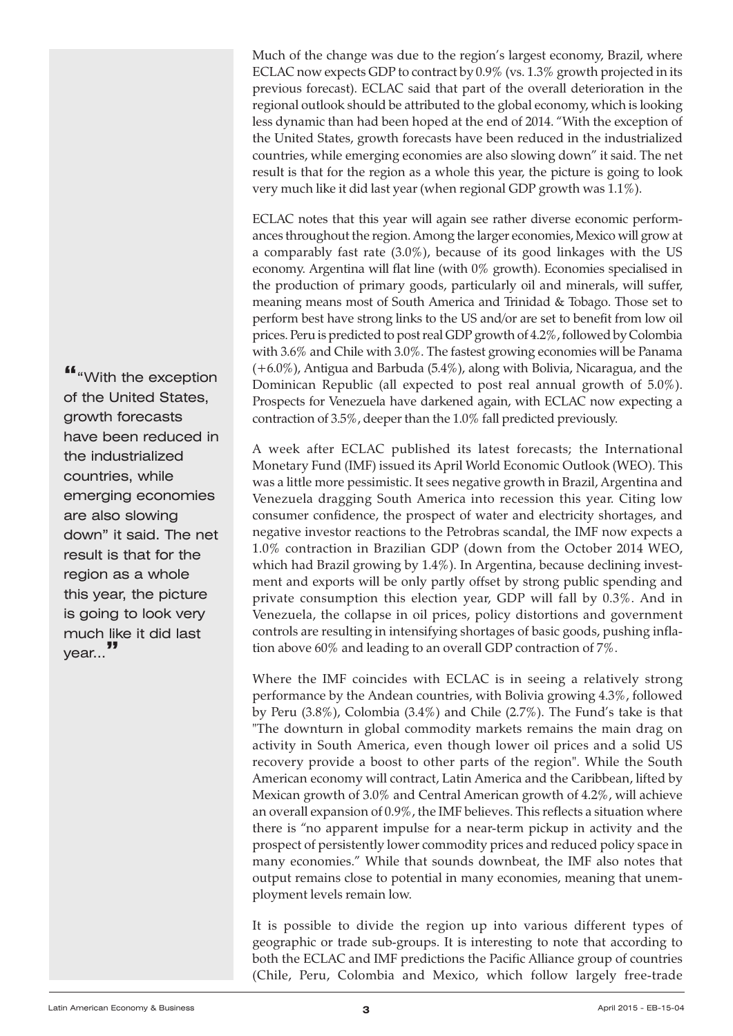Much of the change was due to the region's largest economy, Brazil, where ECLAC now expects GDP to contract by 0.9% (vs. 1.3% growth projected in its previous forecast). ECLAC said that part of the overall deterioration in the regional outlook should be attributed to the global economy, which is looking less dynamic than had been hoped at the end of 2014. "With the exception of the United States, growth forecasts have been reduced in the industrialized countries, while emerging economies are also slowing down" it said. The net result is that for the region as a whole this year, the picture is going to look very much like it did last year (when regional GDP growth was 1.1%).

ECLAC notes that this year will again see rather diverse economic performances throughout the region.Among the larger economies, Mexico will grow at a comparably fast rate (3.0%), because of its good linkages with the US economy. Argentina will flat line (with 0% growth). Economies specialised in the production of primary goods, particularly oil and minerals, will suffer, meaning means most of South America and Trinidad & Tobago. Those set to perform best have strong links to the US and/or are set to benefit from low oil prices. Peru is predicted to post real GDP growth of 4.2%, followed by Colombia with 3.6% and Chile with 3.0%. The fastest growing economies will be Panama (+6.0%), Antigua and Barbuda (5.4%), along with Bolivia, Nicaragua, and the Dominican Republic (all expected to post real annual growth of 5.0%). Prospects for Venezuela have darkened again, with ECLAC now expecting a contraction of 3.5%, deeper than the 1.0% fall predicted previously.

A week after ECLAC published its latest forecasts; the International Monetary Fund (IMF) issued its April World Economic Outlook (WEO). This was a little more pessimistic. It sees negative growth in Brazil, Argentina and Venezuela dragging South America into recession this year. Citing low consumer confidence, the prospect of water and electricity shortages, and negative investor reactions to the Petrobras scandal, the IMF now expects a 1.0% contraction in Brazilian GDP (down from the October 2014 WEO, which had Brazil growing by 1.4%). In Argentina, because declining investment and exports will be only partly offset by strong public spending and private consumption this election year, GDP will fall by 0.3%. And in Venezuela, the collapse in oil prices, policy distortions and government controls are resulting in intensifying shortages of basic goods, pushing inflation above 60% and leading to an overall GDP contraction of 7%.

Where the IMF coincides with ECLAC is in seeing a relatively strong performance by the Andean countries, with Bolivia growing 4.3%, followed by Peru (3.8%), Colombia (3.4%) and Chile (2.7%). The Fund's take is that "The downturn in global commodity markets remains the main drag on activity in South America, even though lower oil prices and a solid US recovery provide a boost to other parts of the region". While the South American economy will contract, Latin America and the Caribbean, lifted by Mexican growth of 3.0% and Central American growth of 4.2%, will achieve an overall expansion of 0.9%, the IMF believes. This reflects a situation where there is "no apparent impulse for a near-term pickup in activity and the prospect of persistently lower commodity prices and reduced policy space in many economies." While that sounds downbeat, the IMF also notes that output remains close to potential in many economies, meaning that unemployment levels remain low.

It is possible to divide the region up into various different types of geographic or trade sub-groups. It is interesting to note that according to both the ECLAC and IMF predictions the Pacific Alliance group of countries (Chile, Peru, Colombia and Mexico, which follow largely free-trade

**"**"With the exception of the United States, growth forecasts have been reduced in the industrialized countries, while emerging economies are also slowing down" it said. The net result is that for the region as a whole this year, the picture is going to look very much like it did last year...**"**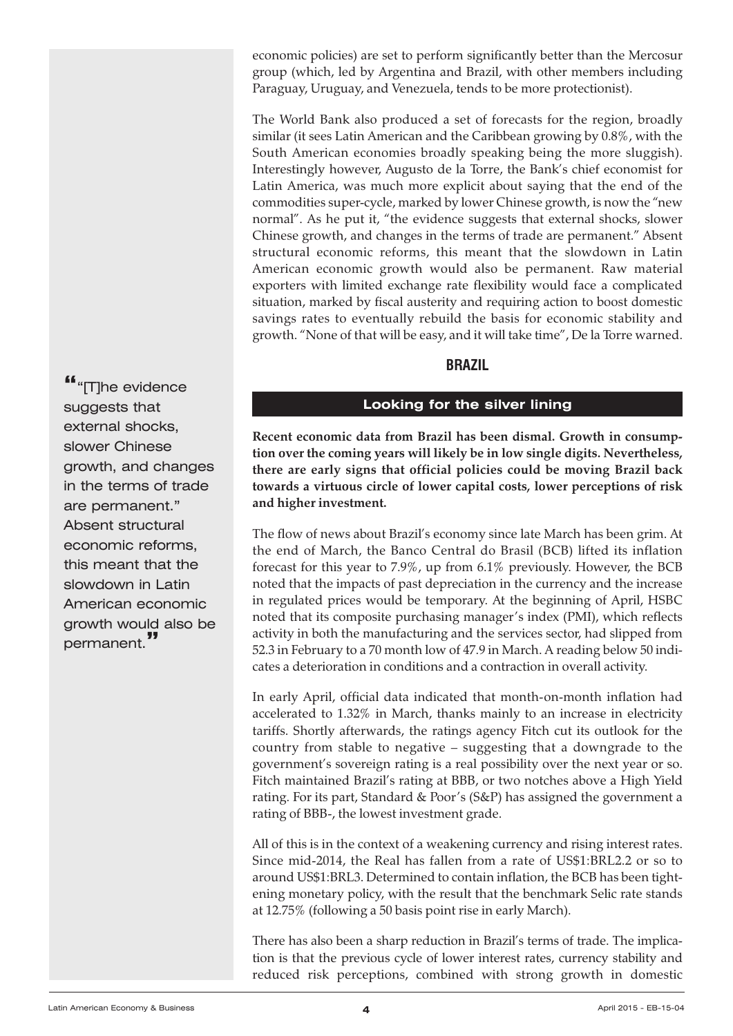<span id="page-3-0"></span>economic policies) are set to perform significantly better than the Mercosur group (which, led by Argentina and Brazil, with other members including Paraguay, Uruguay, and Venezuela, tends to be more protectionist).

The World Bank also produced a set of forecasts for the region, broadly similar (it sees Latin American and the Caribbean growing by 0.8%, with the South American economies broadly speaking being the more sluggish). Interestingly however, Augusto de la Torre, the Bank's chief economist for Latin America, was much more explicit about saying that the end of the commodities super-cycle, marked by lower Chinese growth, is now the "new normal". As he put it, "the evidence suggests that external shocks, slower Chinese growth, and changes in the terms of trade are permanent." Absent structural economic reforms, this meant that the slowdown in Latin American economic growth would also be permanent. Raw material exporters with limited exchange rate flexibility would face a complicated situation, marked by fiscal austerity and requiring action to boost domestic savings rates to eventually rebuild the basis for economic stability and growth. "None of that will be easy, and it will take time", De la Torre warned.

# **BRAZIL**

# **Looking for the silver lining**

**Recent economic data from Brazil has been dismal. Growth in consumption over the coming years will likely be in low single digits. Nevertheless, there are early signs that official policies could be moving Brazil back towards a virtuous circle of lower capital costs, lower perceptions of risk and higher investment.**

The flow of news about Brazil's economy since late March has been grim. At the end of March, the Banco Central do Brasil (BCB) lifted its inflation forecast for this year to 7.9%, up from 6.1% previously. However, the BCB noted that the impacts of past depreciation in the currency and the increase in regulated prices would be temporary. At the beginning of April, HSBC noted that its composite purchasing manager's index (PMI), which reflects activity in both the manufacturing and the services sector, had slipped from 52.3 in February to a 70 month low of 47.9 in March. A reading below 50 indicates a deterioration in conditions and a contraction in overall activity.

In early April, official data indicated that month-on-month inflation had accelerated to 1.32% in March, thanks mainly to an increase in electricity tariffs. Shortly afterwards, the ratings agency Fitch cut its outlook for the country from stable to negative – suggesting that a downgrade to the government's sovereign rating is a real possibility over the next year or so. Fitch maintained Brazil's rating at BBB, or two notches above a High Yield rating. For its part, Standard & Poor's (S&P) has assigned the government a rating of BBB-, the lowest investment grade.

All of this is in the context of a weakening currency and rising interest rates. Since mid-2014, the Real has fallen from a rate of US\$1:BRL2.2 or so to around US\$1:BRL3. Determined to contain inflation, the BCB has been tightening monetary policy, with the result that the benchmark Selic rate stands at 12.75% (following a 50 basis point rise in early March).

There has also been a sharp reduction in Brazil's terms of trade. The implication is that the previous cycle of lower interest rates, currency stability and reduced risk perceptions, combined with strong growth in domestic

**"**"[T]he evidence suggests that external shocks, slower Chinese growth, and changes in the terms of trade are permanent." Absent structural economic reforms, this meant that the slowdown in Latin American economic growth would also be permanent.**"**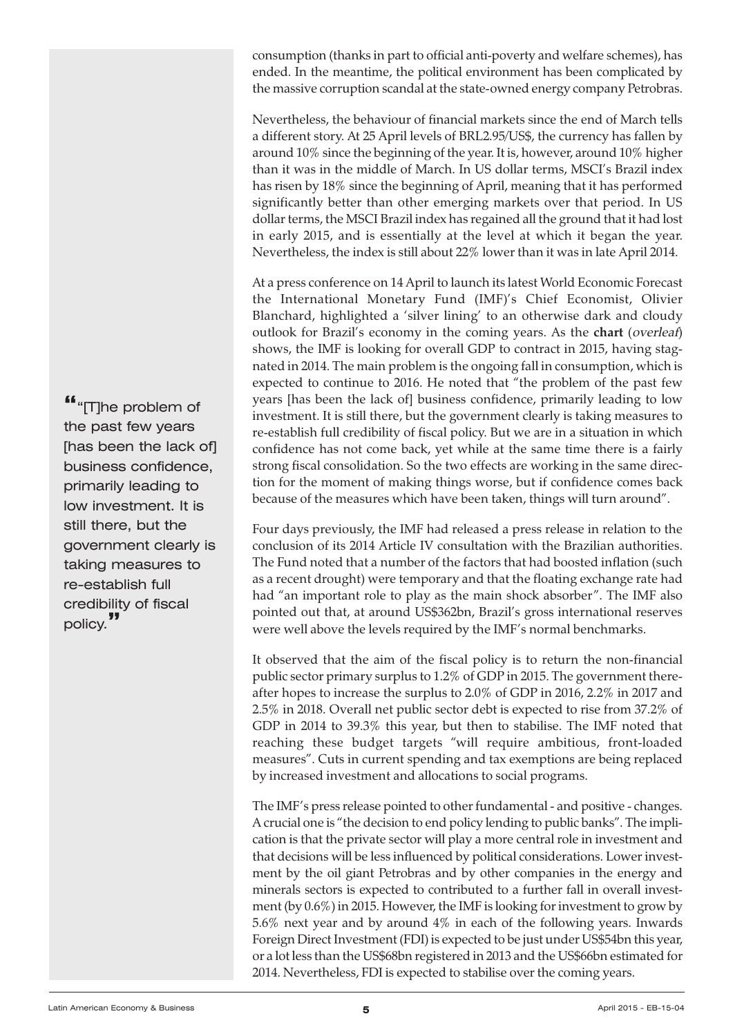consumption (thanks in part to official anti-poverty and welfare schemes), has ended. In the meantime, the political environment has been complicated by the massive corruption scandal at the state-owned energy company Petrobras.

Nevertheless, the behaviour of financial markets since the end of March tells a different story. At 25 April levels of BRL2.95/US\$, the currency has fallen by around 10% since the beginning of the year. It is, however, around 10% higher than it was in the middle of March. In US dollar terms, MSCI's Brazil index has risen by 18% since the beginning of April, meaning that it has performed significantly better than other emerging markets over that period. In US dollar terms, the MSCI Brazil index has regained all the ground that it had lost in early 2015, and is essentially at the level at which it began the year. Nevertheless, the index is still about 22% lower than it was in late April 2014.

At a press conference on 14 April to launch its latest World Economic Forecast the International Monetary Fund (IMF)'s Chief Economist, Olivier Blanchard, highlighted a 'silver lining' to an otherwise dark and cloudy outlook for Brazil's economy in the coming years. As the **chart** (overleaf) shows, the IMF is looking for overall GDP to contract in 2015, having stagnated in 2014. The main problem is the ongoing fall in consumption, which is expected to continue to 2016. He noted that "the problem of the past few years [has been the lack of] business confidence, primarily leading to low investment. It is still there, but the government clearly is taking measures to re-establish full credibility of fiscal policy. But we are in a situation in which confidence has not come back, yet while at the same time there is a fairly strong fiscal consolidation. So the two effects are working in the same direction for the moment of making things worse, but if confidence comes back because of the measures which have been taken, things will turn around".

Four days previously, the IMF had released a press release in relation to the conclusion of its 2014 Article IV consultation with the Brazilian authorities. The Fund noted that a number of the factors that had boosted inflation (such as a recent drought) were temporary and that the floating exchange rate had had "an important role to play as the main shock absorber". The IMF also pointed out that, at around US\$362bn, Brazil's gross international reserves were well above the levels required by the IMF's normal benchmarks.

It observed that the aim of the fiscal policy is to return the non-financial public sector primary surplus to 1.2% of GDP in 2015. The government thereafter hopes to increase the surplus to 2.0% of GDP in 2016, 2.2% in 2017 and 2.5% in 2018. Overall net public sector debt is expected to rise from 37.2% of GDP in 2014 to 39.3% this year, but then to stabilise. The IMF noted that reaching these budget targets "will require ambitious, front-loaded measures". Cuts in current spending and tax exemptions are being replaced by increased investment and allocations to social programs.

The IMF's press release pointed to other fundamental - and positive - changes. A crucial one is "the decision to end policy lending to public banks". The implication is that the private sector will play a more central role in investment and that decisions will be less influenced by political considerations. Lower investment by the oil giant Petrobras and by other companies in the energy and minerals sectors is expected to contributed to a further fall in overall investment (by 0.6%) in 2015. However, the IMF is looking forinvestment to grow by 5.6% next year and by around 4% in each of the following years. Inwards Foreign Direct Investment (FDI) is expected to be just under US\$54bn this year, or a lot less than the US\$68bn registered in 2013 and the US\$66bn estimated for 2014. Nevertheless, FDI is expected to stabilise over the coming years.

**"**"[T]he problem of the past few years [has been the lack of] business confidence, primarily leading to low investment. It is still there, but the government clearly is taking measures to re-establish full credibility of fiscal policy.**"**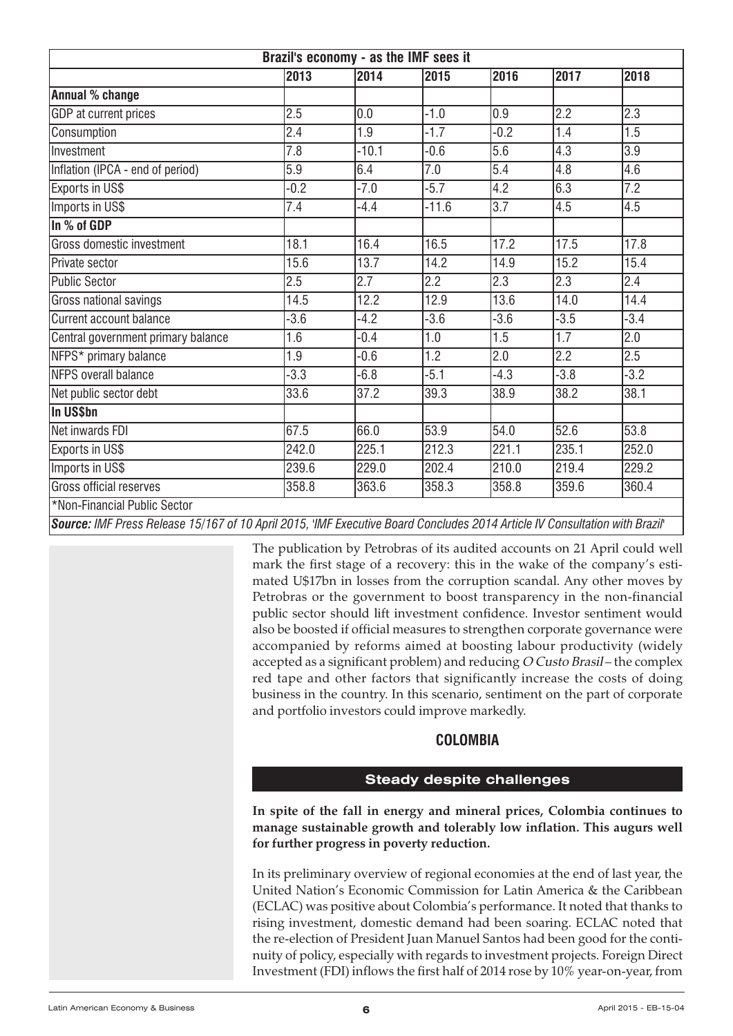<span id="page-5-0"></span>

| Brazil's economy - as the IMF sees it                                                                                       |        |         |                  |                  |                  |                  |
|-----------------------------------------------------------------------------------------------------------------------------|--------|---------|------------------|------------------|------------------|------------------|
|                                                                                                                             | 2013   | 2014    | 2015             | 2016             | 2017             | 2018             |
| Annual % change                                                                                                             |        |         |                  |                  |                  |                  |
| GDP at current prices                                                                                                       | 2.5    | 0.0     | $-1.0$           | 0.9              | 2.2              | 2.3              |
| Consumption                                                                                                                 | 2.4    | 1.9     | $-1.7$           | $-0.2$           | 1.4              | 1.5              |
| Investment                                                                                                                  | 7.8    | $-10.1$ | $-0.6$           | 5.6              | 4.3              | 3.9              |
| Inflation (IPCA - end of period)                                                                                            | 5.9    | 6.4     | 7.0              | 5.4              | 4.8              | 4.6              |
| <b>Exports in US\$</b>                                                                                                      | $-0.2$ | $-7.0$  | $-5.7$           | 4.2              | 6.3              | 7.2              |
| Imports in US\$                                                                                                             | 7.4    | $-4.4$  | $-11.6$          | $\overline{3.7}$ | 4.5              | $\overline{4.5}$ |
| In % of GDP                                                                                                                 |        |         |                  |                  |                  |                  |
| Gross domestic investment                                                                                                   | 18.1   | 16.4    | 16.5             | 17.2             | 17.5             | 17.8             |
| <b>IPrivate sector</b>                                                                                                      | 15.6   | 13.7    | 14.2             | 14.9             | 15.2             | 15.4             |
| Public Sector                                                                                                               | 2.5    | 2.7     | 2.2              | $\overline{2.3}$ | 2.3              | 2.4              |
| Gross national savings                                                                                                      | 14.5   | 12.2    | 12.9             | 13.6             | 14.0             | 14.4             |
| Current account balance                                                                                                     | $-3.6$ | $-4.2$  | $-3.6$           | $-3.6$           | $-3.5$           | $-3.4$           |
| Central government primary balance                                                                                          | 1.6    | $-0.4$  | 1.0              | 1.5              | 1.7              | 2.0              |
| NFPS* primary balance                                                                                                       | 1.9    | $-0.6$  | $\overline{1.2}$ | 2.0              | $\overline{2.2}$ | 2.5              |
| NFPS overall balance                                                                                                        | $-3.3$ | $-6.8$  | $-5.1$           | $-4.3$           | $-3.8$           | $-3.2$           |
| Net public sector debt                                                                                                      | 33.6   | 37.2    | 39.3             | 38.9             | 38.2             | 38.1             |
| In US\$bn                                                                                                                   |        |         |                  |                  |                  |                  |
| Net inwards FDI                                                                                                             | 67.5   | 66.0    | 53.9             | 54.0             | 52.6             | 53.8             |
| <b>Exports in US\$</b>                                                                                                      | 242.0  | 225.1   | 212.3            | 221.1            | 235.1            | 252.0            |
| Imports in US\$                                                                                                             | 239.6  | 229.0   | 202.4            | 210.0            | 219.4            | 229.2            |
| Gross official reserves                                                                                                     | 358.8  | 363.6   | 358.3            | 358.8            | 359.6            | 360.4            |
| *Non-Financial Public Sector                                                                                                |        |         |                  |                  |                  |                  |
| Source: IME Press Release 15/167 of 10 April 2015, 'IME Executive Roard Concludes 2014 Article IV Consultation with Rrazil' |        |         |                  |                  |                  |                  |

of TU April 2015, 'IMF Executive Board Concludes 2014 Article IV Consultation with Bi

The publication by Petrobras of its audited accounts on 21 April could well mark the first stage of a recovery: this in the wake of the company's estimated U\$17bn in losses from the corruption scandal. Any other moves by Petrobras or the government to boost transparency in the non-financial public sector should lift investment confidence. Investor sentiment would also be boosted if official measures to strengthen corporate governance were accompanied by reforms aimed at boosting labour productivity (widely accepted as a significant problem) and reducing O Custo Brasil – the complex red tape and other factors that significantly increase the costs of doing business in the country. In this scenario, sentiment on the part of corporate and portfolio investors could improve markedly.

# **COLOMBIA**

# **Steady despite challenges**

**In spite of the fall in energy and mineral prices, Colombia continues to manage sustainable growth and tolerably low inflation. This augurs well for further progress in poverty reduction.**

In its preliminary overview of regional economies at the end of last year, the United Nation's Economic Commission for Latin America & the Caribbean (ECLAC) was positive about Colombia's performance. It noted that thanks to rising investment, domestic demand had been soaring. ECLAC noted that the re-election of President Juan Manuel Santos had been good for the continuity of policy, especially with regards to investment projects. Foreign Direct Investment (FDI) inflows the first half of 2014 rose by 10% year-on-year, from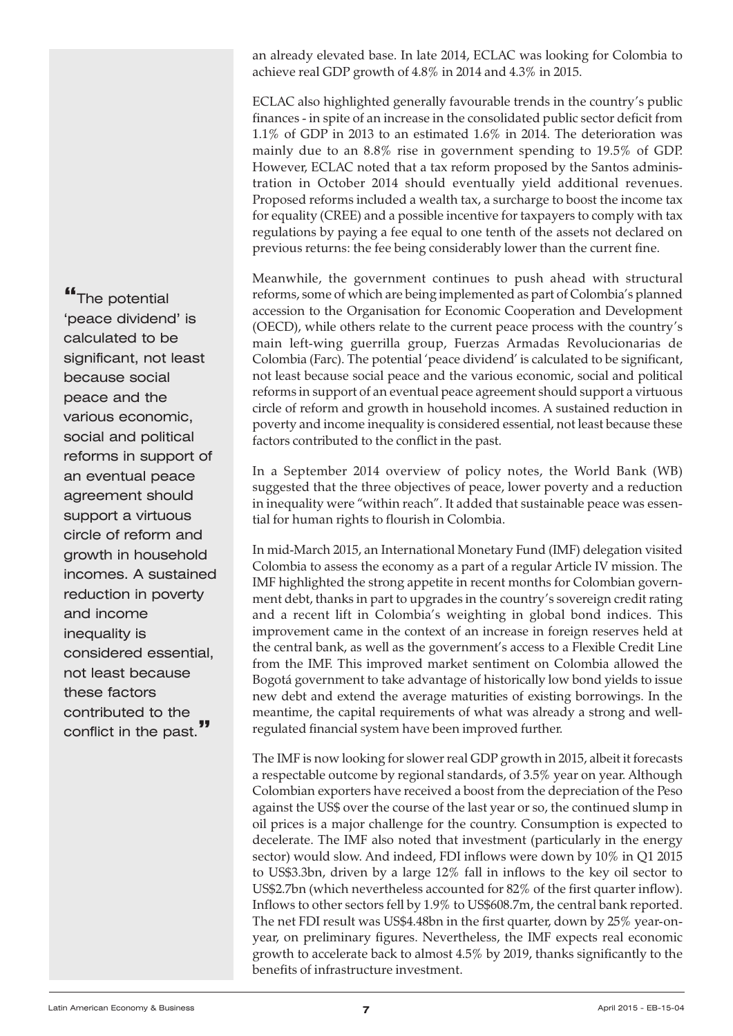an already elevated base. In late 2014, ECLAC was looking for Colombia to achieve real GDP growth of 4.8% in 2014 and 4.3% in 2015.

ECLAC also highlighted generally favourable trends in the country's public finances - in spite of an increase in the consolidated public sector deficit from 1.1% of GDP in 2013 to an estimated 1.6% in 2014. The deterioration was mainly due to an 8.8% rise in government spending to 19.5% of GDP. However, ECLAC noted that a tax reform proposed by the Santos administration in October 2014 should eventually yield additional revenues. Proposed reforms included a wealth tax, a surcharge to boost the income tax for equality (CREE) and a possible incentive for taxpayers to comply with tax regulations by paying a fee equal to one tenth of the assets not declared on previous returns: the fee being considerably lower than the current fine.

Meanwhile, the government continues to push ahead with structural reforms, some of which are being implemented as part of Colombia's planned accession to the Organisation for Economic Cooperation and Development (OECD), while others relate to the current peace process with the country's main left-wing guerrilla group, Fuerzas Armadas Revolucionarias de Colombia (Farc). The potential 'peace dividend' is calculated to be significant, not least because social peace and the various economic, social and political reforms in support of an eventual peace agreement should support a virtuous circle of reform and growth in household incomes. A sustained reduction in poverty and income inequality is considered essential, not least because these factors contributed to the conflict in the past.

In a September 2014 overview of policy notes, the World Bank (WB) suggested that the three objectives of peace, lower poverty and a reduction in inequality were "within reach". It added that sustainable peace was essential for human rights to flourish in Colombia.

In mid-March 2015, an International Monetary Fund (IMF) delegation visited Colombia to assess the economy as a part of a regular Article IV mission. The IMF highlighted the strong appetite in recent months for Colombian government debt, thanks in part to upgrades in the country's sovereign credit rating and a recent lift in Colombia's weighting in global bond indices. This improvement came in the context of an increase in foreign reserves held at the central bank, as well as the government's access to a Flexible Credit Line from the IMF. This improved market sentiment on Colombia allowed the Bogotá government to take advantage of historically low bond yields to issue new debt and extend the average maturities of existing borrowings. In the meantime, the capital requirements of what was already a strong and wellregulated financial system have been improved further.

The IMF is now looking for slower real GDP growth in 2015, albeit it forecasts a respectable outcome by regional standards, of 3.5% year on year. Although Colombian exporters have received a boost from the depreciation of the Peso against the US\$ over the course of the last year or so, the continued slump in oil prices is a major challenge for the country. Consumption is expected to decelerate. The IMF also noted that investment (particularly in the energy sector) would slow. And indeed, FDI inflows were down by 10% in Q1 2015 to US\$3.3bn, driven by a large 12% fall in inflows to the key oil sector to US\$2.7bn (which nevertheless accounted for 82% of the first quarter inflow). Inflows to other sectors fell by 1.9% to US\$608.7m, the central bank reported. The net FDI result was US\$4.48bn in the first quarter, down by 25% year-onyear, on preliminary figures. Nevertheless, the IMF expects real economic growth to accelerate back to almost 4.5% by 2019, thanks significantly to the benefits of infrastructure investment.

**"**The potential 'peace dividend' is calculated to be significant, not least because social peace and the various economic, social and political reforms in support of an eventual peace agreement should support a virtuous circle of reform and growth in household incomes. A sustained reduction in poverty and income inequality is considered essential, not least because these factors contributed to the conflict in the past.**"**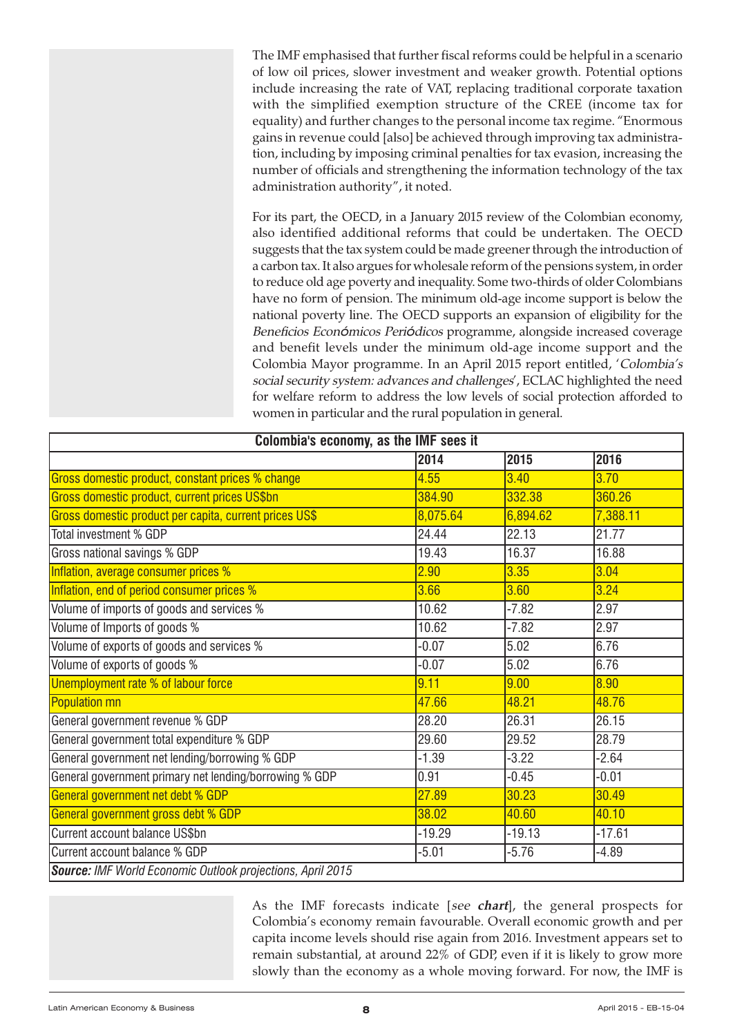The IMF emphasised that further fiscal reforms could be helpful in a scenario of low oil prices, slower investment and weaker growth. Potential options include increasing the rate of VAT, replacing traditional corporate taxation with the simplified exemption structure of the CREE (income tax for equality) and further changes to the personal income tax regime. "Enormous gains in revenue could [also] be achieved through improving tax administration, including by imposing criminal penalties for tax evasion, increasing the number of officials and strengthening the information technology of the tax administration authority", it noted.

For its part, the OECD, in a January 2015 review of the Colombian economy, also identified additional reforms that could be undertaken. The OECD suggests that the tax system could be made greener through the introduction of a carbon tax. It also argues for wholesale reform of the pensions system, in order to reduce old age poverty and inequality. Some two-thirds of older Colombians have no form of pension. The minimum old-age income support is below the national poverty line. The OECD supports an expansion of eligibility for the Beneficios Económicos Periódicos programme, alongside increased coverage and benefit levels under the minimum old-age income support and the Colombia Mayor programme. In an April 2015 report entitled, 'Colombia's social security system: advances and challenges', ECLAC highlighted the need for welfare reform to address the low levels of social protection afforded to women in particular and the rural population in general.

| Colombia's economy, as the IMF sees it                     |          |          |          |  |
|------------------------------------------------------------|----------|----------|----------|--|
|                                                            | 2014     | 2015     | 2016     |  |
| Gross domestic product, constant prices % change           | 4.55     | 3.40     | 3.70     |  |
| Gross domestic product, current prices US\$bn              | 384.90   | 332.38   | 360.26   |  |
| Gross domestic product per capita, current prices US\$     | 8,075.64 | 6,894.62 | 7,388.11 |  |
| Total investment % GDP                                     | 24.44    | 22.13    | 21.77    |  |
| Gross national savings % GDP                               | 19.43    | 16.37    | 16.88    |  |
| Inflation, average consumer prices %                       | 2.90     | 3.35     | 3.04     |  |
| Inflation, end of period consumer prices %                 | 3.66     | 3.60     | 3.24     |  |
| Volume of imports of goods and services %                  | 10.62    | $-7.82$  | 2.97     |  |
| Volume of Imports of goods %                               | 10.62    | $-7.82$  | 2.97     |  |
| Volume of exports of goods and services %                  | $-0.07$  | 5.02     | 6.76     |  |
| Volume of exports of goods %                               | $-0.07$  | 5.02     | 6.76     |  |
| Unemployment rate % of labour force                        | 9.11     | 9.00     | 8.90     |  |
| <b>Population mn</b>                                       | 47.66    | 48.21    | 48.76    |  |
| General government revenue % GDP                           | 28.20    | 26.31    | 26.15    |  |
| General government total expenditure % GDP                 | 29.60    | 29.52    | 28.79    |  |
| General government net lending/borrowing % GDP             | $-1.39$  | $-3.22$  | $-2.64$  |  |
| General government primary net lending/borrowing % GDP     | 0.91     | $-0.45$  | $-0.01$  |  |
| General government net debt % GDP                          | 27.89    | 30.23    | 30.49    |  |
| General government gross debt % GDP                        | 38.02    | 40.60    | 40.10    |  |
| Current account balance US\$bn                             | $-19.29$ | $-19.13$ | $-17.61$ |  |
| Current account balance % GDP                              | $-5.01$  | $-5.76$  | $-4.89$  |  |
| Source: IMF World Economic Outlook projections, April 2015 |          |          |          |  |

As the IMF forecasts indicate [see **chart**], the general prospects for Colombia's economy remain favourable. Overall economic growth and per capita income levels should rise again from 2016. Investment appears set to remain substantial, at around 22% of GDP, even if it is likely to grow more slowly than the economy as a whole moving forward. For now, the IMF is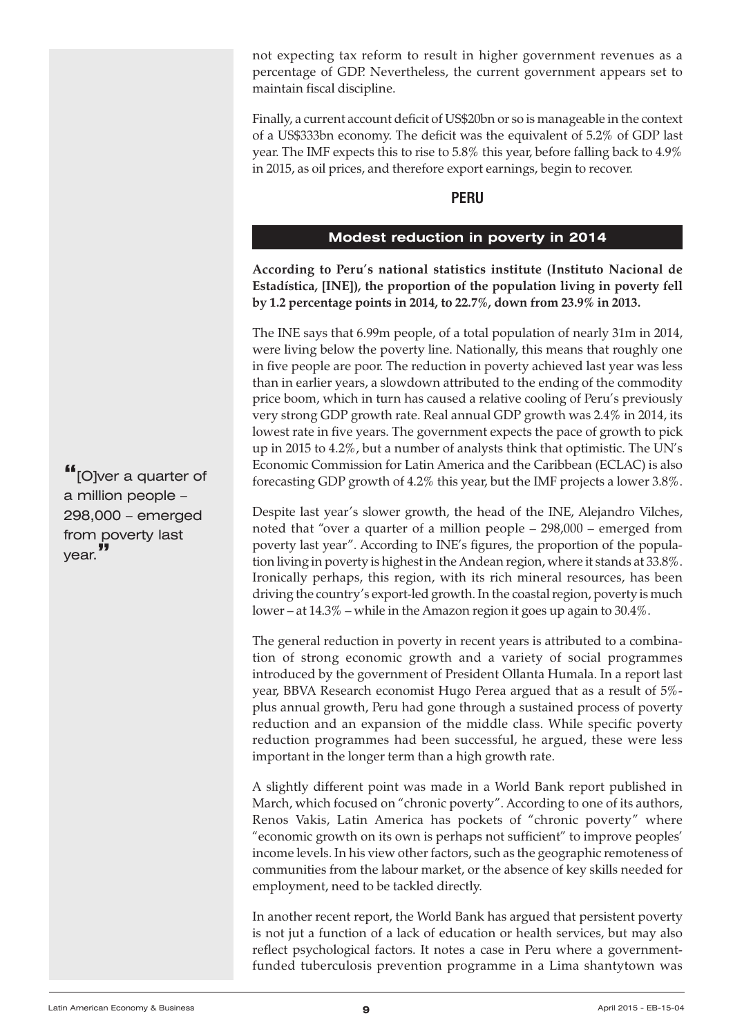<span id="page-8-0"></span>not expecting tax reform to result in higher government revenues as a percentage of GDP. Nevertheless, the current government appears set to maintain fiscal discipline.

Finally, a current account deficit of US\$20bn or so is manageable in the context of a US\$333bn economy. The deficit was the equivalent of 5.2% of GDP last year. The IMF expects this to rise to 5.8% this year, before falling back to 4.9% in 2015, as oil prices, and therefore export earnings, begin to recover.

# **PERU**

# **Modest reduction in poverty in 2014**

**According to Peru's national statistics institute (Instituto Nacional de Estadística, [INE]), the proportion of the population living in poverty fell by 1.2 percentage points in 2014, to 22.7%, down from 23.9% in 2013.**

The INE says that 6.99m people, of a total population of nearly 31m in 2014, were living below the poverty line. Nationally, this means that roughly one in five people are poor. The reduction in poverty achieved last year was less than in earlier years, a slowdown attributed to the ending of the commodity price boom, which in turn has caused a relative cooling of Peru's previously very strong GDP growth rate. Real annual GDP growth was 2.4% in 2014, its lowest rate in five years. The government expects the pace of growth to pick up in 2015 to 4.2%, but a number of analysts think that optimistic. The UN's Economic Commission for Latin America and the Caribbean (ECLAC) is also forecasting GDP growth of 4.2% this year, but the IMF projects a lower 3.8%.

Despite last year's slower growth, the head of the INE, Alejandro Vilches, noted that "over a quarter of a million people – 298,000 – emerged from poverty last year". According to INE's figures, the proportion of the population living in poverty is highest in the Andean region, where it stands at 33.8%. Ironically perhaps, this region, with its rich mineral resources, has been driving the country's export-led growth. In the coastal region, poverty is much lower – at 14.3% – while in the Amazon region it goes up again to 30.4%.

The general reduction in poverty in recent years is attributed to a combination of strong economic growth and a variety of social programmes introduced by the government of President Ollanta Humala. In a report last year, BBVA Research economist Hugo Perea argued that as a result of 5% plus annual growth, Peru had gone through a sustained process of poverty reduction and an expansion of the middle class. While specific poverty reduction programmes had been successful, he argued, these were less important in the longer term than a high growth rate.

A slightly different point was made in a World Bank report published in March, which focused on "chronic poverty". According to one of its authors, Renos Vakis, Latin America has pockets of "chronic poverty" where "economic growth on its own is perhaps not sufficient" to improve peoples' income levels. In his view other factors, such as the geographic remoteness of communities from the labour market, or the absence of key skills needed for employment, need to be tackled directly.

In another recent report, the World Bank has argued that persistent poverty is not jut a function of a lack of education or health services, but may also reflect psychological factors. It notes a case in Peru where a governmentfunded tuberculosis prevention programme in a Lima shantytown was

**"**[O]ver <sup>a</sup> quarter of a million people – 298,000 – emerged from poverty last year.**"**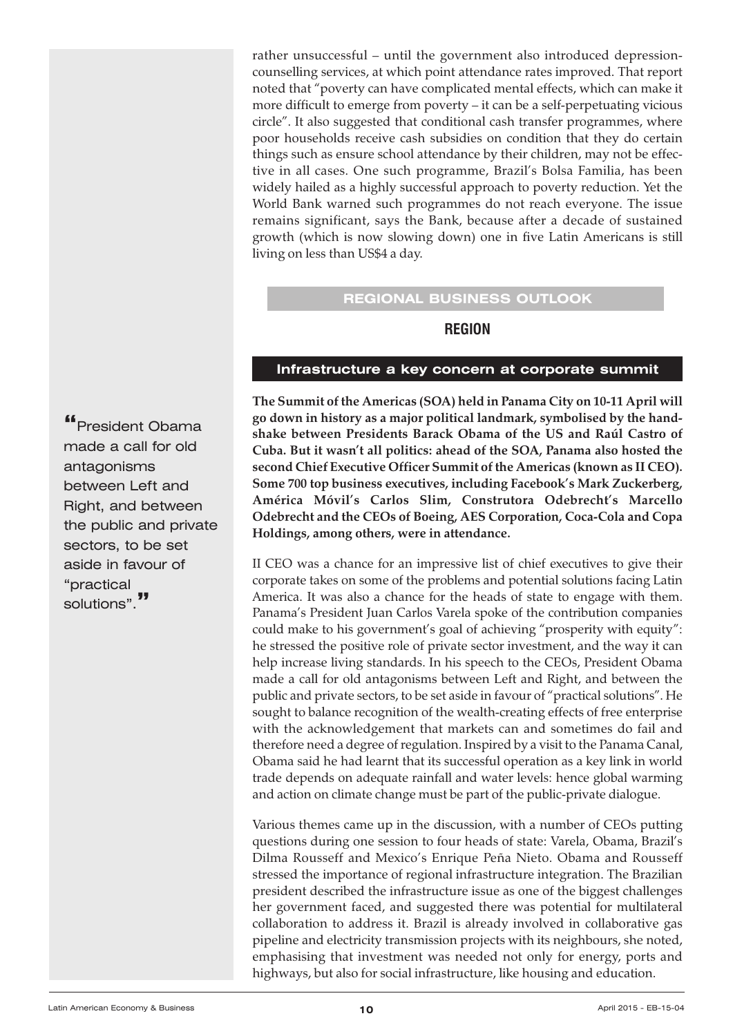<span id="page-9-0"></span>rather unsuccessful – until the government also introduced depressioncounselling services, at which point attendance rates improved. That report noted that "poverty can have complicated mental effects, which can make it more difficult to emerge from poverty – it can be a self-perpetuating vicious circle". It also suggested that conditional cash transfer programmes, where poor households receive cash subsidies on condition that they do certain things such as ensure school attendance by their children, may not be effective in all cases. One such programme, Brazil's Bolsa Familia, has been widely hailed as a highly successful approach to poverty reduction. Yet the World Bank warned such programmes do not reach everyone. The issue remains significant, says the Bank, because after a decade of sustained growth (which is now slowing down) one in five Latin Americans is still living on less than US\$4 a day.

#### **REGIONAL BUSINESS OUTLOOK**

#### **REGION**

#### **Infrastructure a key concern at corporate summit**

**The Summit of the Americas (SOA) held in Panama City on 10-11 April will go down in history as a major political landmark, symbolised by the handshake between Presidents Barack Obama of the US and Raúl Castro of Cuba. But it wasn't all politics: ahead of the SOA, Panama also hosted the second Chief Executive Officer Summit of the Americas (known as II CEO). Some 700 top business executives, including Facebook's Mark Zuckerberg, América Móvil's Carlos Slim, Construtora Odebrecht's Marcello Odebrecht and the CEOs of Boeing, AES Corporation, Coca-Cola and Copa Holdings, among others, were in attendance.**

II CEO was a chance for an impressive list of chief executives to give their corporate takes on some of the problems and potential solutions facing Latin America. It was also a chance for the heads of state to engage with them. Panama's President Juan Carlos Varela spoke of the contribution companies could make to his government's goal of achieving "prosperity with equity": he stressed the positive role of private sector investment, and the way it can help increase living standards. In his speech to the CEOs, President Obama made a call for old antagonisms between Left and Right, and between the public and private sectors, to be set aside in favour of "practical solutions". He sought to balance recognition of the wealth-creating effects of free enterprise with the acknowledgement that markets can and sometimes do fail and therefore need a degree of regulation. Inspired by a visit to the Panama Canal, Obama said he had learnt that its successful operation as a key link in world trade depends on adequate rainfall and water levels: hence global warming and action on climate change must be part of the public-private dialogue.

Various themes came up in the discussion, with a number of CEOs putting questions during one session to four heads of state: Varela, Obama, Brazil's Dilma Rousseff and Mexico's Enrique Peña Nieto. Obama and Rousseff stressed the importance of regional infrastructure integration. The Brazilian president described the infrastructure issue as one of the biggest challenges her government faced, and suggested there was potential for multilateral collaboration to address it. Brazil is already involved in collaborative gas pipeline and electricity transmission projects with its neighbours, she noted, emphasising that investment was needed not only for energy, ports and highways, but also for social infrastructure, like housing and education.

**"**President Obama made a call for old antagonisms between Left and Right, and between the public and private sectors, to be set aside in favour of "practical solutions".**"**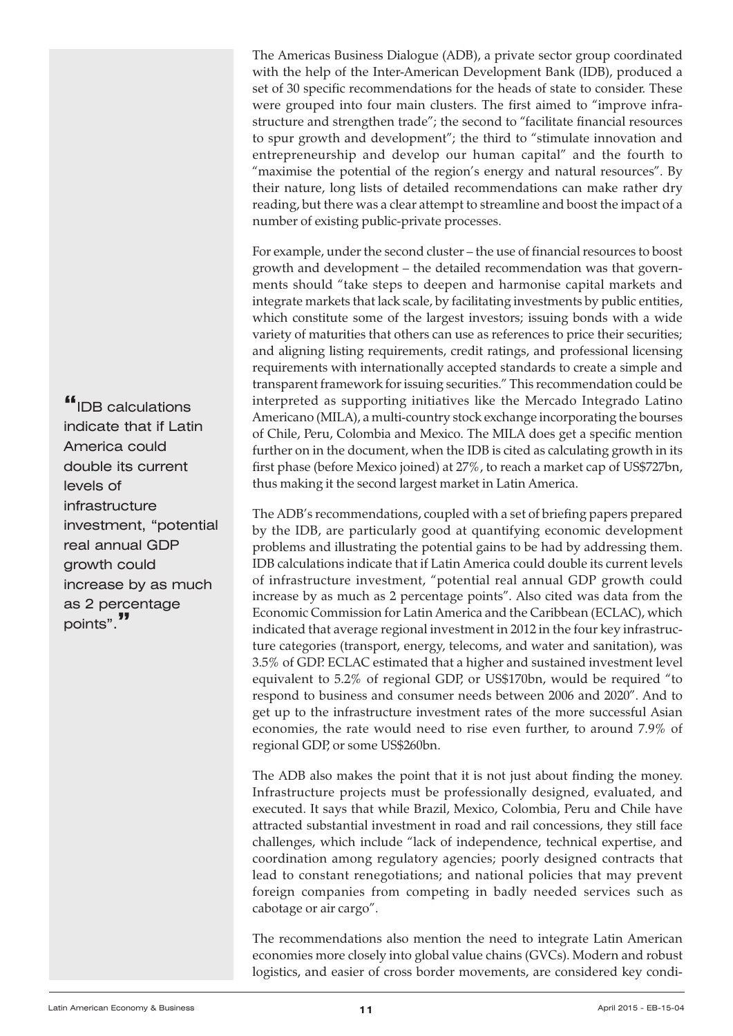The Americas Business Dialogue (ADB), a private sector group coordinated with the help of the Inter-American Development Bank (IDB), produced a set of 30 specific recommendations for the heads of state to consider. These were grouped into four main clusters. The first aimed to "improve infrastructure and strengthen trade"; the second to "facilitate financial resources to spur growth and development"; the third to "stimulate innovation and entrepreneurship and develop our human capital" and the fourth to "maximise the potential of the region's energy and natural resources". By their nature, long lists of detailed recommendations can make rather dry reading, but there was a clear attempt to streamline and boost the impact of a number of existing public-private processes.

For example, under the second cluster – the use of financial resources to boost growth and development – the detailed recommendation was that governments should "take steps to deepen and harmonise capital markets and integrate markets that lack scale, by facilitating investments by public entities, which constitute some of the largest investors; issuing bonds with a wide variety of maturities that others can use as references to price their securities; and aligning listing requirements, credit ratings, and professional licensing requirements with internationally accepted standards to create a simple and transparent framework for issuing securities." This recommendation could be interpreted as supporting initiatives like the Mercado Integrado Latino Americano (MILA), a multi-country stock exchange incorporating the bourses of Chile, Peru, Colombia and Mexico. The MILA does get a specific mention further on in the document, when the IDB is cited as calculating growth in its first phase (before Mexico joined) at 27%, to reach a market cap of US\$727bn, thus making it the second largest market in Latin America.

The ADB's recommendations, coupled with a set of briefing papers prepared by the IDB, are particularly good at quantifying economic development problems and illustrating the potential gains to be had by addressing them. IDB calculations indicate that if Latin America could double its current levels of infrastructure investment, "potential real annual GDP growth could increase by as much as 2 percentage points". Also cited was data from the Economic Commission for Latin America and the Caribbean (ECLAC), which indicated that average regional investment in 2012 in the four key infrastructure categories (transport, energy, telecoms, and water and sanitation), was 3.5% of GDP. ECLAC estimated that a higher and sustained investment level equivalent to 5.2% of regional GDP, or US\$170bn, would be required "to respond to business and consumer needs between 2006 and 2020". And to get up to the infrastructure investment rates of the more successful Asian economies, the rate would need to rise even further, to around 7.9% of regional GDP, or some US\$260bn.

The ADB also makes the point that it is not just about finding the money. Infrastructure projects must be professionally designed, evaluated, and executed. It says that while Brazil, Mexico, Colombia, Peru and Chile have attracted substantial investment in road and rail concessions, they still face challenges, which include "lack of independence, technical expertise, and coordination among regulatory agencies; poorly designed contracts that lead to constant renegotiations; and national policies that may prevent foreign companies from competing in badly needed services such as cabotage or air cargo".

The recommendations also mention the need to integrate Latin American economies more closely into global value chains (GVCs). Modern and robust logistics, and easier of cross border movements, are considered key condi-

**"**IDB calculations indicate that if Latin America could double its current levels of infrastructure investment, "potential real annual GDP growth could increase by as much as 2 percentage points".**"**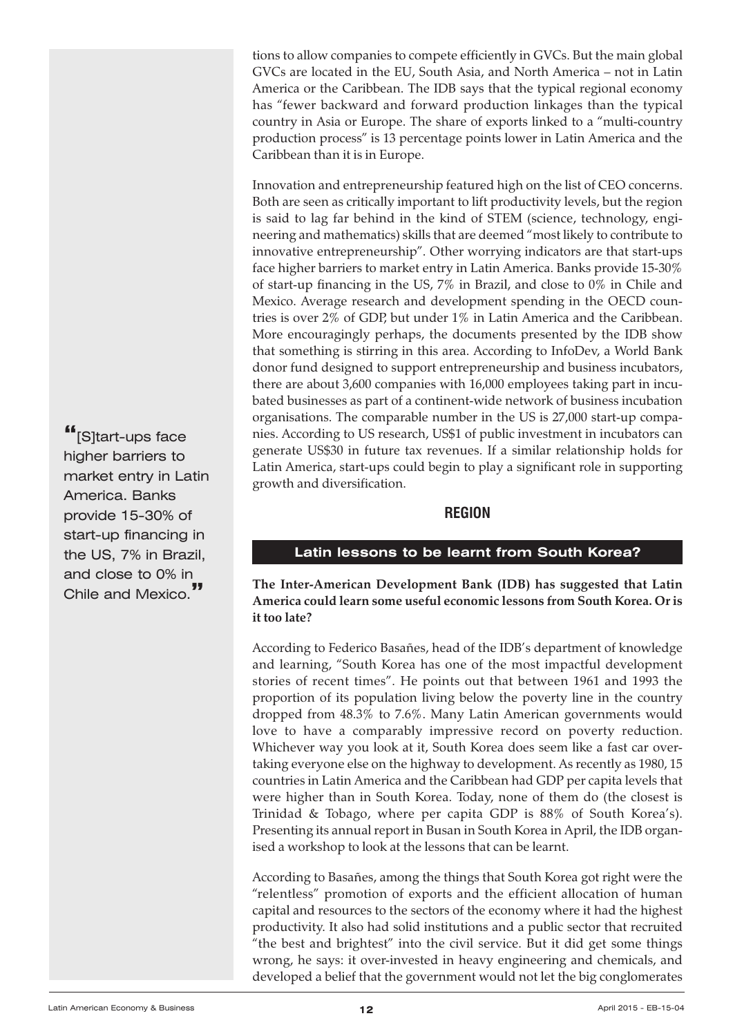<span id="page-11-0"></span>tions to allow companies to compete efficiently in GVCs. But the main global GVCs are located in the EU, South Asia, and North America – not in Latin America or the Caribbean. The IDB says that the typical regional economy has "fewer backward and forward production linkages than the typical country in Asia or Europe. The share of exports linked to a "multi-country production process" is 13 percentage points lower in Latin America and the Caribbean than it is in Europe.

Innovation and entrepreneurship featured high on the list of CEO concerns. Both are seen as critically important to lift productivity levels, but the region is said to lag far behind in the kind of STEM (science, technology, engineering and mathematics) skills that are deemed "most likely to contribute to innovative entrepreneurship". Other worrying indicators are that start-ups face higher barriers to market entry in Latin America. Banks provide 15-30% of start-up financing in the US, 7% in Brazil, and close to 0% in Chile and Mexico. Average research and development spending in the OECD countries is over 2% of GDP, but under 1% in Latin America and the Caribbean. More encouragingly perhaps, the documents presented by the IDB show that something is stirring in this area. According to InfoDev, a World Bank donor fund designed to support entrepreneurship and business incubators, there are about 3,600 companies with 16,000 employees taking part in incubated businesses as part of a continent-wide network of business incubation organisations. The comparable number in the US is 27,000 start-up companies. According to US research, US\$1 of public investment in incubators can generate US\$30 in future tax revenues. If a similar relationship holds for Latin America, start-ups could begin to play a significant role in supporting growth and diversification.

# **REGION**

# **Latin lessons to be learnt from South Korea?**

**The Inter-American Development Bank (IDB) has suggested that Latin America could learn some useful economic lessons from South Korea. Or is it too late?**

According to Federico Basañes, head of the IDB's department of knowledge and learning, "South Korea has one of the most impactful development stories of recent times". He points out that between 1961 and 1993 the proportion of its population living below the poverty line in the country dropped from 48.3% to 7.6%. Many Latin American governments would love to have a comparably impressive record on poverty reduction. Whichever way you look at it, South Korea does seem like a fast car overtaking everyone else on the highway to development. As recently as 1980, 15 countries in Latin America and the Caribbean had GDP per capita levels that were higher than in South Korea. Today, none of them do (the closest is Trinidad & Tobago, where per capita GDP is 88% of South Korea's). Presenting its annual report in Busan in South Korea in April, the IDB organised a workshop to look at the lessons that can be learnt.

According to Basañes, among the things that South Korea got right were the "relentless" promotion of exports and the efficient allocation of human capital and resources to the sectors of the economy where it had the highest productivity. It also had solid institutions and a public sector that recruited "the best and brightest" into the civil service. But it did get some things wrong, he says: it over-invested in heavy engineering and chemicals, and developed a belief that the government would not let the big conglomerates

**"**[S]tart-ups face higher barriers to market entry in Latin America. Banks provide 15-30% of start-up financing in the US, 7% in Brazil, and close to 0% in Chile and Mexico.**"**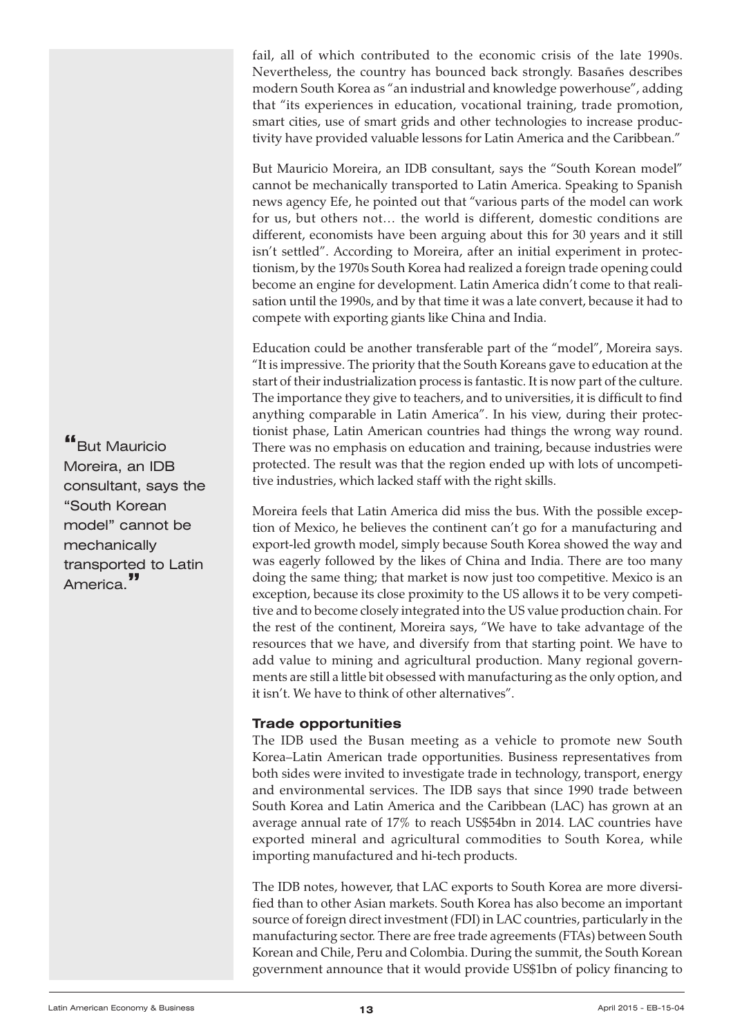fail, all of which contributed to the economic crisis of the late 1990s. Nevertheless, the country has bounced back strongly. Basañes describes modern South Korea as "an industrial and knowledge powerhouse", adding that "its experiences in education, vocational training, trade promotion, smart cities, use of smart grids and other technologies to increase productivity have provided valuable lessons for Latin America and the Caribbean."

But Mauricio Moreira, an IDB consultant, says the "South Korean model" cannot be mechanically transported to Latin America. Speaking to Spanish news agency Efe, he pointed out that "various parts of the model can work for us, but others not… the world is different, domestic conditions are different, economists have been arguing about this for 30 years and it still isn't settled". According to Moreira, after an initial experiment in protectionism, by the 1970s South Korea had realized a foreign trade opening could become an engine for development. Latin America didn't come to that realisation until the 1990s, and by that time it was a late convert, because it had to compete with exporting giants like China and India.

Education could be another transferable part of the "model", Moreira says. "It is impressive. The priority that the South Koreans gave to education at the start of their industrialization process is fantastic. It is now part of the culture. The importance they give to teachers, and to universities, it is difficult to find anything comparable in Latin America". In his view, during their protectionist phase, Latin American countries had things the wrong way round. There was no emphasis on education and training, because industries were protected. The result was that the region ended up with lots of uncompetitive industries, which lacked staff with the right skills.

Moreira feels that Latin America did miss the bus. With the possible exception of Mexico, he believes the continent can't go for a manufacturing and export-led growth model, simply because South Korea showed the way and was eagerly followed by the likes of China and India. There are too many doing the same thing; that market is now just too competitive. Mexico is an exception, because its close proximity to the US allows it to be very competitive and to become closely integrated into the US value production chain. For the rest of the continent, Moreira says, "We have to take advantage of the resources that we have, and diversify from that starting point. We have to add value to mining and agricultural production. Many regional governments are still a little bit obsessed with manufacturing as the only option, and it isn't. We have to think of other alternatives".

# **Trade opportunities**

The IDB used the Busan meeting as a vehicle to promote new South Korea–Latin American trade opportunities. Business representatives from both sides were invited to investigate trade in technology, transport, energy and environmental services. The IDB says that since 1990 trade between South Korea and Latin America and the Caribbean (LAC) has grown at an average annual rate of 17% to reach US\$54bn in 2014. LAC countries have exported mineral and agricultural commodities to South Korea, while importing manufactured and hi-tech products.

The IDB notes, however, that LAC exports to South Korea are more diversified than to other Asian markets. South Korea has also become an important source of foreign direct investment (FDI) in LAC countries, particularly in the manufacturing sector. There are free trade agreements (FTAs) between South Korean and Chile, Peru and Colombia. During the summit, the South Korean government announce that it would provide US\$1bn of policy financing to

**"**But Mauricio Moreira, an IDB consultant, says the "South Korean model" cannot be mechanically transported to Latin America.**"**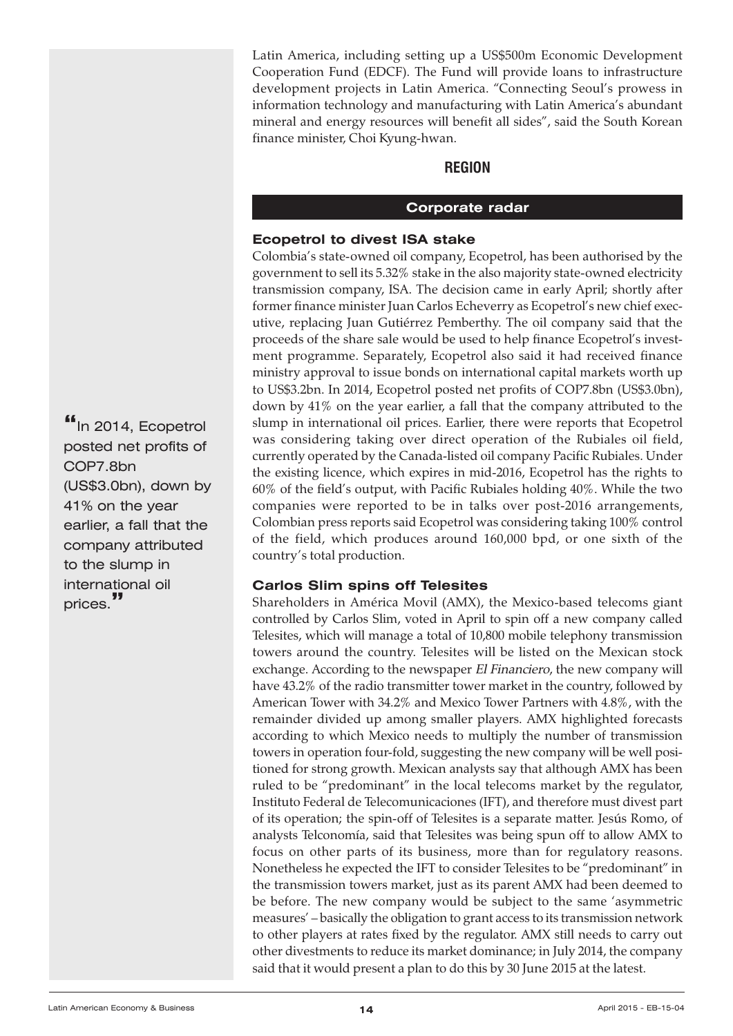<span id="page-13-0"></span>Latin America, including setting up a US\$500m Economic Development Cooperation Fund (EDCF). The Fund will provide loans to infrastructure development projects in Latin America. "Connecting Seoul's prowess in information technology and manufacturing with Latin America's abundant mineral and energy resources will benefit all sides", said the South Korean finance minister, Choi Kyung-hwan.

#### **REGION**

#### **Corporate radar**

#### **Ecopetrol to divest ISA stake**

Colombia's state-owned oil company, Ecopetrol, has been authorised by the government to sell its 5.32% stake in the also majority state-owned electricity transmission company, ISA. The decision came in early April; shortly after former finance minister Juan Carlos Echeverry as Ecopetrol's new chief executive, replacing Juan Gutiérrez Pemberthy. The oil company said that the proceeds of the share sale would be used to help finance Ecopetrol's investment programme. Separately, Ecopetrol also said it had received finance ministry approval to issue bonds on international capital markets worth up to US\$3.2bn. In 2014, Ecopetrol posted net profits of COP7.8bn (US\$3.0bn), down by 41% on the year earlier, a fall that the company attributed to the slump in international oil prices. Earlier, there were reports that Ecopetrol was considering taking over direct operation of the Rubiales oil field, currently operated by the Canada-listed oil company Pacific Rubiales. Under the existing licence, which expires in mid-2016, Ecopetrol has the rights to 60% of the field's output, with Pacific Rubiales holding 40%. While the two companies were reported to be in talks over post-2016 arrangements, Colombian press reports said Ecopetrol was considering taking 100% control of the field, which produces around 160,000 bpd, or one sixth of the country's total production.

#### **Carlos Slim spins off Telesites**

Shareholders in América Movil (AMX), the Mexico-based telecoms giant controlled by Carlos Slim, voted in April to spin off a new company called Telesites, which will manage a total of 10,800 mobile telephony transmission towers around the country. Telesites will be listed on the Mexican stock exchange. According to the newspaper El Financiero, the new company will have 43.2% of the radio transmitter tower market in the country, followed by American Tower with 34.2% and Mexico Tower Partners with 4.8%, with the remainder divided up among smaller players. AMX highlighted forecasts according to which Mexico needs to multiply the number of transmission towers in operation four-fold, suggesting the new company will be well positioned for strong growth. Mexican analysts say that although AMX has been ruled to be "predominant" in the local telecoms market by the regulator, Instituto Federal de Telecomunicaciones (IFT), and therefore must divest part of its operation; the spin-off of Telesites is a separate matter. Jesús Romo, of analysts Telconomía, said that Telesites was being spun off to allow AMX to focus on other parts of its business, more than for regulatory reasons. Nonetheless he expected the IFT to consider Telesites to be "predominant" in the transmission towers market, just as its parent AMX had been deemed to be before. The new company would be subject to the same 'asymmetric measures' – basically the obligation to grant access to its transmission network to other players at rates fixed by the regulator. AMX still needs to carry out other divestments to reduce its market dominance; in July 2014, the company said that it would present a plan to do this by 30 June 2015 at the latest.

**"**In 2014, Ecopetrol posted net profits of COP7.8bn (US\$3.0bn), down by 41% on the year earlier, a fall that the company attributed to the slump in international oil prices.**"**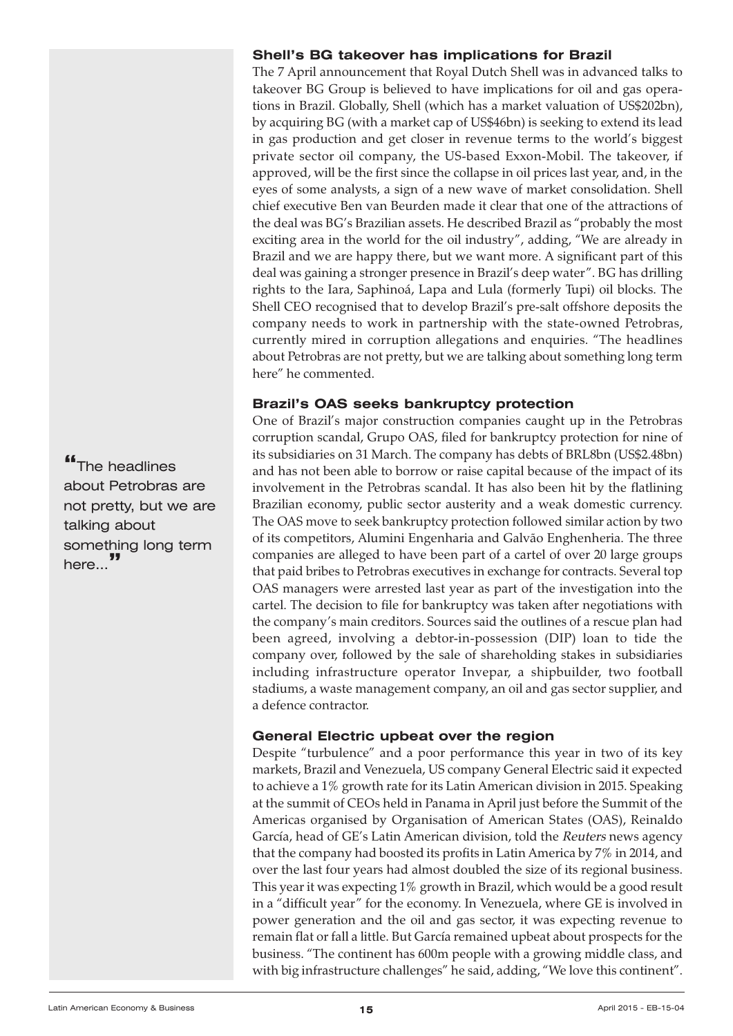# **Shell's BG takeover has implications for Brazil**

The 7 April announcement that Royal Dutch Shell was in advanced talks to takeover BG Group is believed to have implications for oil and gas operations in Brazil. Globally, Shell (which has a market valuation of US\$202bn), by acquiring BG (with a market cap of US\$46bn) is seeking to extend its lead in gas production and get closer in revenue terms to the world's biggest private sector oil company, the US-based Exxon-Mobil. The takeover, if approved, will be the first since the collapse in oil prices last year, and, in the eyes of some analysts, a sign of a new wave of market consolidation. Shell chief executive Ben van Beurden made it clear that one of the attractions of the deal was BG's Brazilian assets. He described Brazil as "probably the most exciting area in the world for the oil industry", adding, "We are already in Brazil and we are happy there, but we want more. A significant part of this deal was gaining a stronger presence in Brazil's deep water". BG has drilling rights to the Iara, Saphinoá, Lapa and Lula (formerly Tupi) oil blocks. The Shell CEO recognised that to develop Brazil's pre-salt offshore deposits the company needs to work in partnership with the state-owned Petrobras, currently mired in corruption allegations and enquiries. "The headlines about Petrobras are not pretty, but we are talking about something long term here" he commented.

# **Brazil's OAS seeks bankruptcy protection**

One of Brazil's major construction companies caught up in the Petrobras corruption scandal, Grupo OAS, filed for bankruptcy protection for nine of its subsidiaries on 31 March. The company has debts of BRL8bn (US\$2.48bn) and has not been able to borrow or raise capital because of the impact of its involvement in the Petrobras scandal. It has also been hit by the flatlining Brazilian economy, public sector austerity and a weak domestic currency. The OAS move to seek bankruptcy protection followed similar action by two of its competitors, Alumini Engenharia and Galvão Enghenheria. The three companies are alleged to have been part of a cartel of over 20 large groups that paid bribes to Petrobras executives in exchange for contracts. Several top OAS managers were arrested last year as part of the investigation into the cartel. The decision to file for bankruptcy was taken after negotiations with the company's main creditors. Sources said the outlines of a rescue plan had been agreed, involving a debtor-in-possession (DIP) loan to tide the company over, followed by the sale of shareholding stakes in subsidiaries including infrastructure operator Invepar, a shipbuilder, two football stadiums, a waste management company, an oil and gas sector supplier, and a defence contractor.

# **General Electric upbeat over the region**

Despite "turbulence" and a poor performance this year in two of its key markets, Brazil and Venezuela, US company General Electric said it expected to achieve a 1% growth rate for its Latin American division in 2015. Speaking at the summit of CEOs held in Panama in April just before the Summit of the Americas organised by Organisation of American States (OAS), Reinaldo García, head of GE's Latin American division, told the Reuters news agency that the company had boosted its profits in Latin America by 7% in 2014, and over the last four years had almost doubled the size of its regional business. This year it was expecting 1% growth in Brazil, which would be a good result in a "difficult year" for the economy. In Venezuela, where GE is involved in power generation and the oil and gas sector, it was expecting revenue to remain flat or fall a little. But García remained upbeat about prospects for the business. "The continent has 600m people with a growing middle class, and with big infrastructure challenges" he said, adding, "We love this continent".

**"**The headlines about Petrobras are not pretty, but we are talking about something long term here...**"**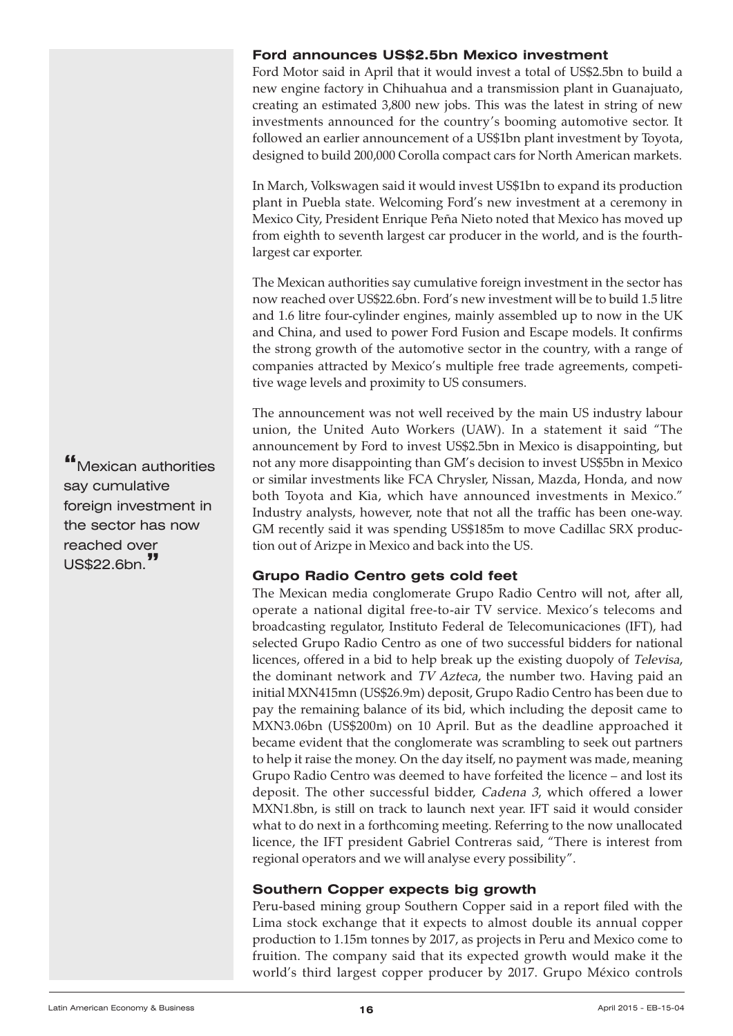#### **Ford announces US\$2.5bn Mexico investment**

Ford Motor said in April that it would invest a total of US\$2.5bn to build a new engine factory in Chihuahua and a transmission plant in Guanajuato, creating an estimated 3,800 new jobs. This was the latest in string of new investments announced for the country's booming automotive sector. It followed an earlier announcement of a US\$1bn plant investment by Toyota, designed to build 200,000 Corolla compact cars for North American markets.

In March, Volkswagen said it would invest US\$1bn to expand its production plant in Puebla state. Welcoming Ford's new investment at a ceremony in Mexico City, President Enrique Peña Nieto noted that Mexico has moved up from eighth to seventh largest car producer in the world, and is the fourthlargest car exporter.

The Mexican authorities say cumulative foreign investment in the sector has now reached over US\$22.6bn. Ford's new investment will be to build 1.5 litre and 1.6 litre four-cylinder engines, mainly assembled up to now in the UK and China, and used to power Ford Fusion and Escape models. It confirms the strong growth of the automotive sector in the country, with a range of companies attracted by Mexico's multiple free trade agreements, competitive wage levels and proximity to US consumers.

The announcement was not well received by the main US industry labour union, the United Auto Workers (UAW). In a statement it said "The announcement by Ford to invest US\$2.5bn in Mexico is disappointing, but not any more disappointing than GM's decision to invest US\$5bn in Mexico or similar investments like FCA Chrysler, Nissan, Mazda, Honda, and now both Toyota and Kia, which have announced investments in Mexico." Industry analysts, however, note that not all the traffic has been one-way. GM recently said it was spending US\$185m to move Cadillac SRX production out of Arizpe in Mexico and back into the US.

# **Grupo Radio Centro gets cold feet**

The Mexican media conglomerate Grupo Radio Centro will not, after all, operate a national digital free-to-air TV service. Mexico's telecoms and broadcasting regulator, Instituto Federal de Telecomunicaciones (IFT), had selected Grupo Radio Centro as one of two successful bidders for national licences, offered in a bid to help break up the existing duopoly of Televisa, the dominant network and TV Azteca, the number two. Having paid an initial MXN415mn (US\$26.9m) deposit, Grupo Radio Centro has been due to pay the remaining balance of its bid, which including the deposit came to MXN3.06bn (US\$200m) on 10 April. But as the deadline approached it became evident that the conglomerate was scrambling to seek out partners to help it raise the money. On the day itself, no payment was made, meaning Grupo Radio Centro was deemed to have forfeited the licence – and lost its deposit. The other successful bidder, Cadena 3, which offered a lower MXN1.8bn, is still on track to launch next year. IFT said it would consider what to do next in a forthcoming meeting. Referring to the now unallocated licence, the IFT president Gabriel Contreras said, "There is interest from regional operators and we will analyse every possibility".

# **Southern Copper expects big growth**

Peru-based mining group Southern Copper said in a report filed with the Lima stock exchange that it expects to almost double its annual copper production to 1.15m tonnes by 2017, as projects in Peru and Mexico come to fruition. The company said that its expected growth would make it the world's third largest copper producer by 2017. Grupo México controls

**"**Mexican authorities say cumulative foreign investment in the sector has now reached over US\$22.6bn.**"**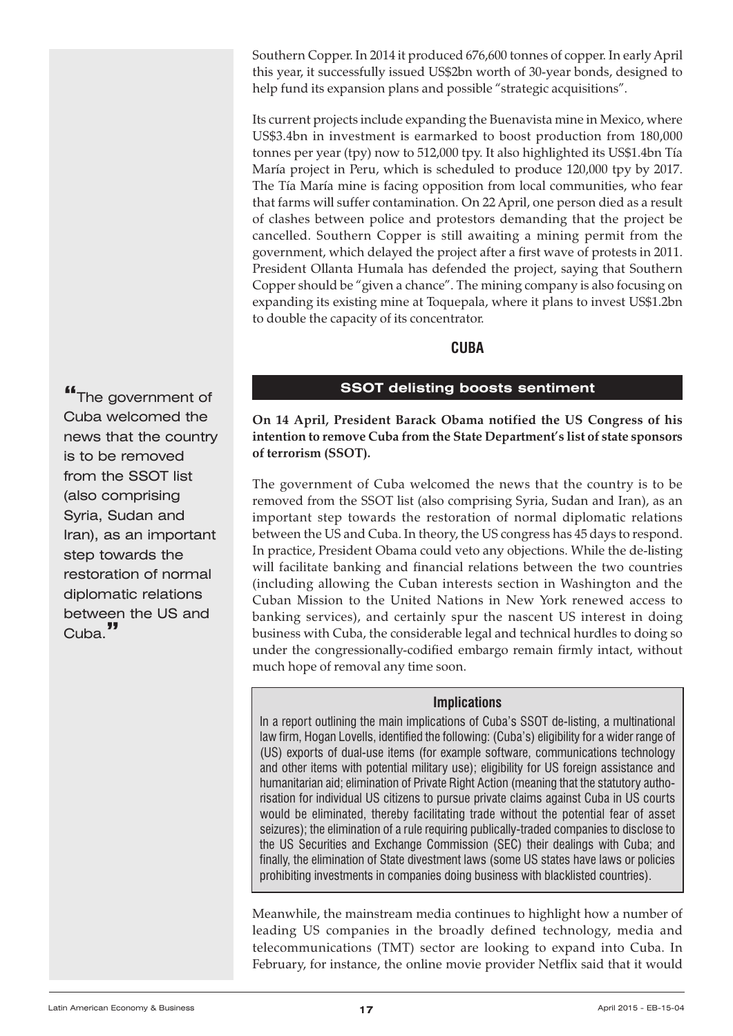<span id="page-16-0"></span>Southern Copper. In 2014 it produced 676,600 tonnes of copper. In early April this year, it successfully issued US\$2bn worth of 30-year bonds, designed to help fund its expansion plans and possible "strategic acquisitions".

Its current projects include expanding the Buenavista mine in Mexico, where US\$3.4bn in investment is earmarked to boost production from 180,000 tonnes per year (tpy) now to 512,000 tpy. It also highlighted its US\$1.4bn Tía María project in Peru, which is scheduled to produce 120,000 tpy by 2017. The Tía María mine is facing opposition from local communities, who fear that farms will suffer contamination. On 22 April, one person died as a result of clashes between police and protestors demanding that the project be cancelled. Southern Copper is still awaiting a mining permit from the government, which delayed the project after a first wave of protests in 2011. President Ollanta Humala has defended the project, saying that Southern Copper should be "given a chance". The mining company is also focusing on expanding its existing mine at Toquepala, where it plans to invest US\$1.2bn to double the capacity of its concentrator.

# **CUBA**

# **SSOT delisting boosts sentiment**

**"**The government of Cuba welcomed the news that the country is to be removed from the SSOT list (also comprising Syria, Sudan and Iran), as an important step towards the restoration of normal diplomatic relations between the US and Cuba.**"**

**On 14 April, President Barack Obama notified the US Congress of his intention to remove Cuba from the State Department's list of state sponsors of terrorism (SSOT).**

The government of Cuba welcomed the news that the country is to be removed from the SSOT list (also comprising Syria, Sudan and Iran), as an important step towards the restoration of normal diplomatic relations between the US and Cuba. In theory, the US congress has 45 days to respond. In practice, President Obama could veto any objections. While the de-listing will facilitate banking and financial relations between the two countries (including allowing the Cuban interests section in Washington and the Cuban Mission to the United Nations in New York renewed access to banking services), and certainly spur the nascent US interest in doing business with Cuba, the considerable legal and technical hurdles to doing so under the congressionally-codified embargo remain firmly intact, without much hope of removal any time soon.

# **Implications**

In a report outlining the main implications of Cuba's SSOT de-listing, a multinational law firm, Hogan Lovells, identified the following: (Cuba's) eligibility for a wider range of (US) exports of dual-use items (for example software, communications technology and other items with potential military use); eligibility for US foreign assistance and humanitarian aid; elimination of Private Right Action (meaning that the statutory authorisation for individual US citizens to pursue private claims against Cuba in US courts would be eliminated, thereby facilitating trade without the potential fear of asset seizures); the elimination of a rule requiring publically-traded companies to disclose to the US Securities and Exchange Commission (SEC) their dealings with Cuba; and finally, the elimination of State divestment laws (some US states have laws or policies prohibiting investments in companies doing business with blacklisted countries).

Meanwhile, the mainstream media continues to highlight how a number of leading US companies in the broadly defined technology, media and telecommunications (TMT) sector are looking to expand into Cuba. In February, for instance, the online movie provider Netflix said that it would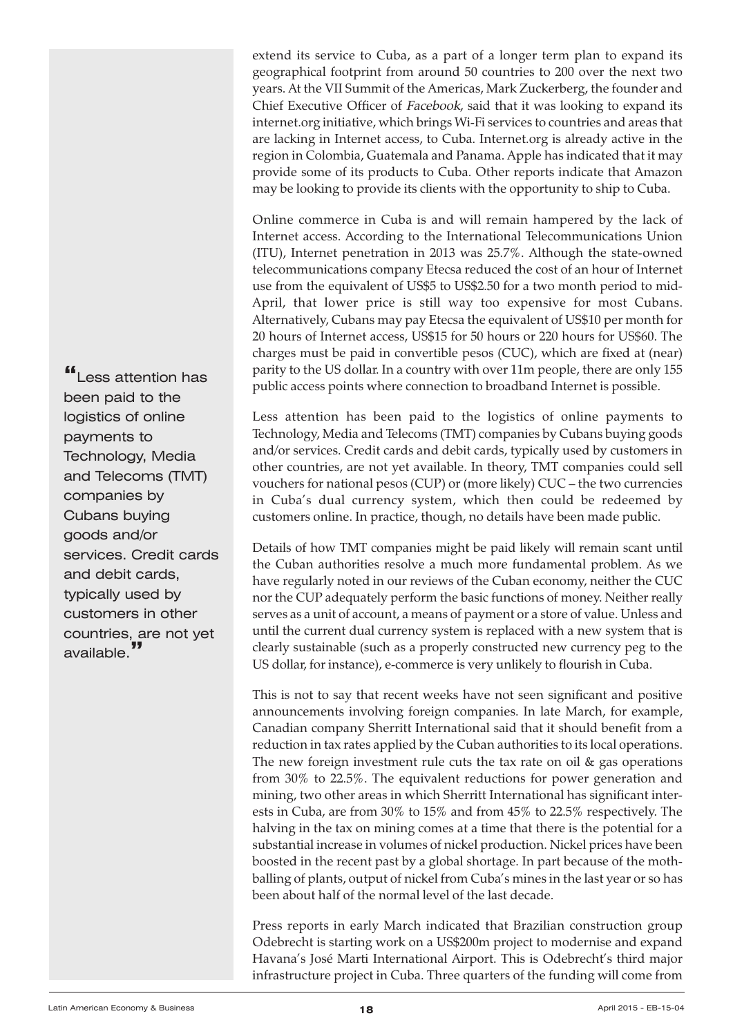extend its service to Cuba, as a part of a longer term plan to expand its geographical footprint from around 50 countries to 200 over the next two years. At the VII Summit of the Americas, Mark Zuckerberg, the founder and Chief Executive Officer of Facebook, said that it was looking to expand its internet.org initiative, which brings Wi-Fi services to countries and areas that are lacking in Internet access, to Cuba. Internet.org is already active in the region in Colombia, Guatemala and Panama. Apple has indicated that it may provide some of its products to Cuba. Other reports indicate that Amazon may be looking to provide its clients with the opportunity to ship to Cuba.

Online commerce in Cuba is and will remain hampered by the lack of Internet access. According to the International Telecommunications Union (ITU), Internet penetration in 2013 was 25.7%. Although the state-owned telecommunications company Etecsa reduced the cost of an hour of Internet use from the equivalent of US\$5 to US\$2.50 for a two month period to mid-April, that lower price is still way too expensive for most Cubans. Alternatively, Cubans may pay Etecsa the equivalent of US\$10 per month for 20 hours of Internet access, US\$15 for 50 hours or 220 hours for US\$60. The charges must be paid in convertible pesos (CUC), which are fixed at (near) parity to the US dollar. In a country with over 11m people, there are only 155 public access points where connection to broadband Internet is possible.

Less attention has been paid to the logistics of online payments to Technology, Media and Telecoms (TMT) companies by Cubans buying goods and/or services. Credit cards and debit cards, typically used by customers in other countries, are not yet available. In theory, TMT companies could sell vouchers for national pesos (CUP) or (more likely) CUC – the two currencies in Cuba's dual currency system, which then could be redeemed by customers online. In practice, though, no details have been made public.

Details of how TMT companies might be paid likely will remain scant until the Cuban authorities resolve a much more fundamental problem. As we have regularly noted in our reviews of the Cuban economy, neither the CUC nor the CUP adequately perform the basic functions of money. Neither really serves as a unit of account, a means of payment or a store of value. Unless and until the current dual currency system is replaced with a new system that is clearly sustainable (such as a properly constructed new currency peg to the US dollar, for instance), e-commerce is very unlikely to flourish in Cuba.

This is not to say that recent weeks have not seen significant and positive announcements involving foreign companies. In late March, for example, Canadian company Sherritt International said that it should benefit from a reduction in tax rates applied by the Cuban authorities to its local operations. The new foreign investment rule cuts the tax rate on oil  $\&$  gas operations from 30% to 22.5%. The equivalent reductions for power generation and mining, two other areas in which Sherritt International has significant interests in Cuba, are from 30% to 15% and from 45% to 22.5% respectively. The halving in the tax on mining comes at a time that there is the potential for a substantial increase in volumes of nickel production. Nickel prices have been boosted in the recent past by a global shortage. In part because of the mothballing of plants, output of nickel from Cuba's mines in the last year or so has been about half of the normal level of the last decade.

Press reports in early March indicated that Brazilian construction group Odebrecht is starting work on a US\$200m project to modernise and expand Havana's José Marti International Airport. This is Odebrecht's third major infrastructure project in Cuba. Three quarters of the funding will come from

**"**Less attention has been paid to the logistics of online payments to Technology, Media and Telecoms (TMT) companies by Cubans buying goods and/or services. Credit cards and debit cards, typically used by customers in other countries, are not yet available.**"**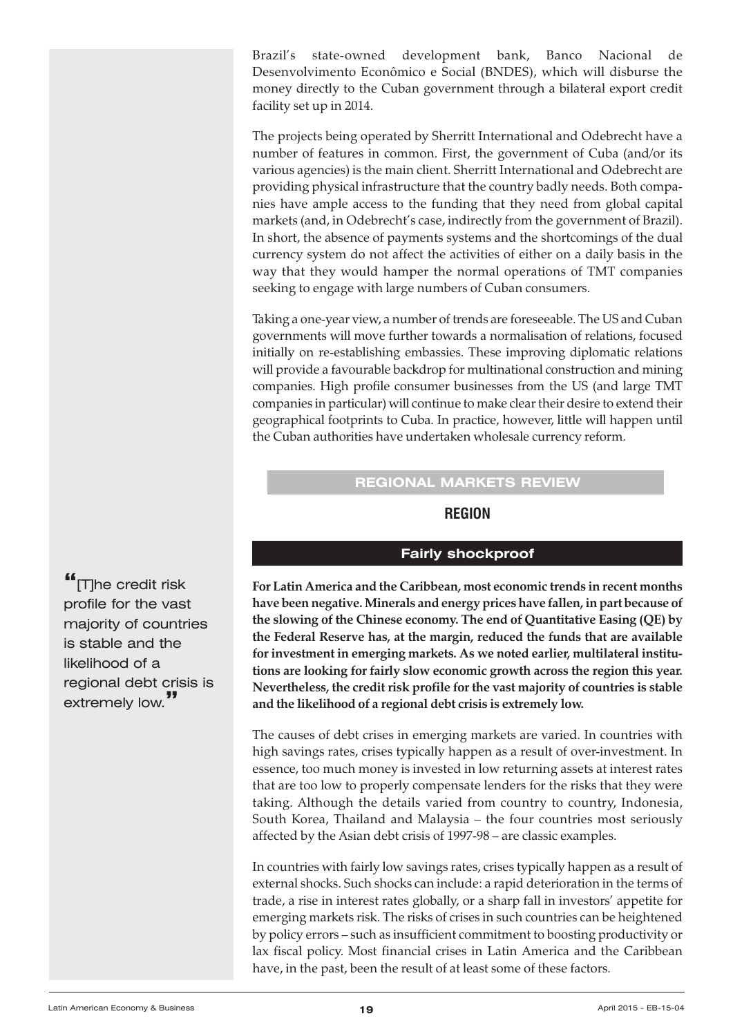<span id="page-18-0"></span>Brazil's state-owned development bank, Banco Nacional de Desenvolvimento Econômico e Social (BNDES), which will disburse the money directly to the Cuban government through a bilateral export credit facility set up in 2014.

The projects being operated by Sherritt International and Odebrecht have a number of features in common. First, the government of Cuba (and/or its various agencies) is the main client. Sherritt International and Odebrecht are providing physical infrastructure that the country badly needs. Both companies have ample access to the funding that they need from global capital markets (and, in Odebrecht's case, indirectly from the government of Brazil). In short, the absence of payments systems and the shortcomings of the dual currency system do not affect the activities of either on a daily basis in the way that they would hamper the normal operations of TMT companies seeking to engage with large numbers of Cuban consumers.

Taking a one-year view, a number of trends are foreseeable. The US and Cuban governments will move further towards a normalisation of relations, focused initially on re-establishing embassies. These improving diplomatic relations will provide a favourable backdrop for multinational construction and mining companies. High profile consumer businesses from the US (and large TMT companies in particular) will continue to make clear their desire to extend their geographical footprints to Cuba. In practice, however, little will happen until the Cuban authorities have undertaken wholesale currency reform.

# **REGIONAL MARKETS REVIEW**

# **REGION**

# **Fairly shockproof**

**For Latin America and the Caribbean, most economic trends in recent months have been negative.Minerals and energy prices have fallen, in part because of the slowing of the Chinese economy. The end of Quantitative Easing (QE) by the Federal Reserve has, at the margin, reduced the funds that are available for investment in emerging markets. As we noted earlier, multilateral institutions are looking for fairly slow economic growth across the region this year. Nevertheless, the credit risk profile for the vast majority of countries is stable and the likelihood of a regional debt crisis is extremely low.**

The causes of debt crises in emerging markets are varied. In countries with high savings rates, crises typically happen as a result of over-investment. In essence, too much money is invested in low returning assets at interest rates that are too low to properly compensate lenders for the risks that they were taking. Although the details varied from country to country, Indonesia, South Korea, Thailand and Malaysia – the four countries most seriously affected by the Asian debt crisis of 1997-98 – are classic examples.

In countries with fairly low savings rates, crises typically happen as a result of external shocks. Such shocks can include: a rapid deterioration in the terms of trade, a rise in interest rates globally, or a sharp fall in investors' appetite for emerging markets risk. The risks of crises in such countries can be heightened by policy errors – such as insufficient commitment to boosting productivity or lax fiscal policy. Most financial crises in Latin America and the Caribbean have, in the past, been the result of at least some of these factors.

**"**[T]he credit risk profile for the vast majority of countries is stable and the likelihood of a regional debt crisis is extremely low.**"**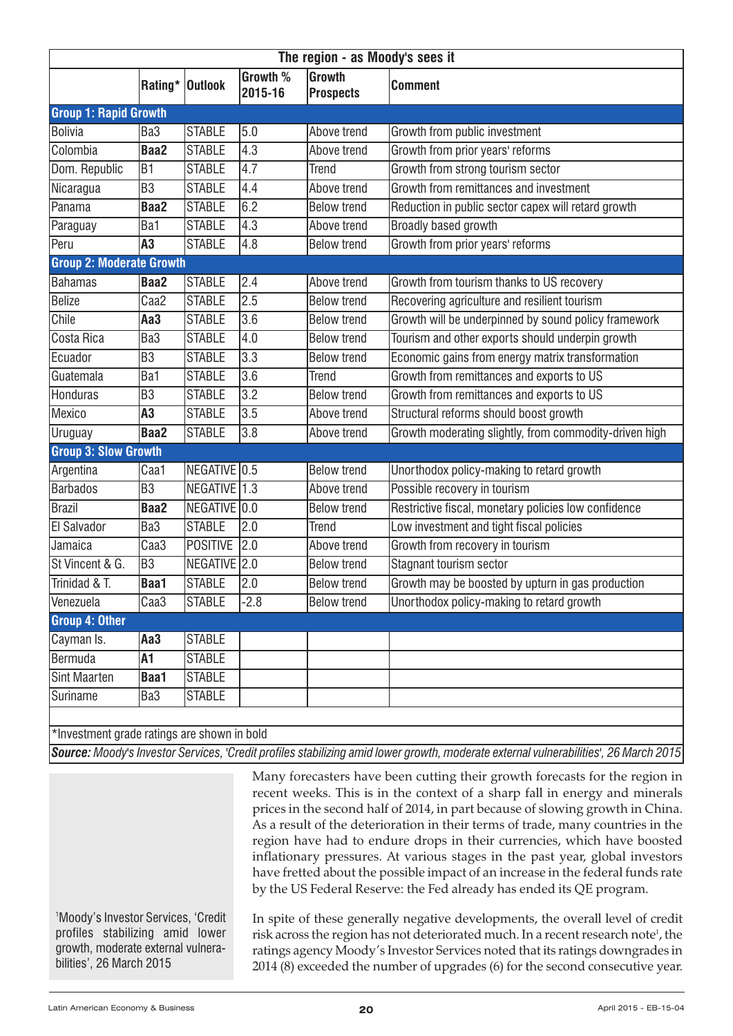| Rating*   Outlook                           |                 | Growth % | <b>Growth</b>      |                                                        |
|---------------------------------------------|-----------------|----------|--------------------|--------------------------------------------------------|
|                                             |                 | 2015-16  | <b>Prospects</b>   | <b>Comment</b>                                         |
| <b>Group 1: Rapid Growth</b>                |                 |          |                    |                                                        |
| <b>Bolivia</b><br>Ba <sub>3</sub>           | <b>STABLE</b>   | 5.0      | Above trend        | Growth from public investment                          |
| <b>Colombia</b><br>Baa2                     | <b>STABLE</b>   | 4.3      | Above trend        | Growth from prior years' reforms                       |
| Dom. Republic<br>B1                         | <b>STABLE</b>   | 4.7      | <b>Trend</b>       | Growth from strong tourism sector                      |
| B <sub>3</sub><br>Nicaragua                 | <b>STABLE</b>   | 4.4      | Above trend        | Growth from remittances and investment                 |
| Panama<br><b>Baa2</b>                       | <b>STABLE</b>   | 6.2      | <b>Below trend</b> | Reduction in public sector capex will retard growth    |
| Ba1<br>Paraguay                             | <b>STABLE</b>   | 4.3      | Above trend        | <b>Broadly based growth</b>                            |
| Peru<br>A3                                  | <b>STABLE</b>   | 4.8      | <b>Below trend</b> | Growth from prior years' reforms                       |
| <b>Group 2: Moderate Growth</b>             |                 |          |                    |                                                        |
| <b>Bahamas</b><br><b>Baa2</b>               | <b>STABLE</b>   | 2.4      | Above trend        | Growth from tourism thanks to US recovery              |
| Belize<br>Caa <sub>2</sub>                  | <b>STABLE</b>   | 2.5      | <b>Below trend</b> | Recovering agriculture and resilient tourism           |
| Chile<br>Aa3                                | <b>STABLE</b>   | 3.6      | <b>Below trend</b> | Growth will be underpinned by sound policy framework   |
| <b>Costa Rica</b><br>Ba3                    | <b>STABLE</b>   | 4.0      | <b>Below trend</b> | Tourism and other exports should underpin growth       |
| B <sub>3</sub><br>Ecuador                   | <b>STABLE</b>   | 3.3      | <b>Below trend</b> | Economic gains from energy matrix transformation       |
| Guatemala<br>Ba1                            | <b>STABLE</b>   | 3.6      | <b>Trend</b>       | Growth from remittances and exports to US              |
| Honduras<br>B <sub>3</sub>                  | <b>STABLE</b>   | 3.2      | <b>Below trend</b> | Growth from remittances and exports to US              |
| Mexico<br>A3                                | <b>STABLE</b>   | 3.5      | Above trend        | Structural reforms should boost growth                 |
| <b>Uruguay</b><br><b>Baa2</b>               | <b>STABLE</b>   | 3.8      | Above trend        | Growth moderating slightly, from commodity-driven high |
| <b>Group 3: Slow Growth</b>                 |                 |          |                    |                                                        |
| Argentina<br>Caa1                           | NEGATIVE 0.5    |          | <b>Below trend</b> | Unorthodox policy-making to retard growth              |
| B <sub>3</sub><br><b>Barbados</b>           | NEGATIVE 1.3    |          | Above trend        | Possible recovery in tourism                           |
| Brazil<br><b>Baa2</b>                       | NEGATIVE 0.0    |          | <b>Below trend</b> | Restrictive fiscal, monetary policies low confidence   |
| El Salvador<br>Ba3                          | <b>STABLE</b>   | 2.0      | <b>Trend</b>       | Low investment and tight fiscal policies               |
| Caa3<br>Jamaica                             | <b>POSITIVE</b> | 2.0      | Above trend        | Growth from recovery in tourism                        |
| St Vincent & G.<br>B <sub>3</sub>           | NEGATIVE 2.0    |          | <b>Below trend</b> | Stagnant tourism sector                                |
| Trinidad & T.<br>Baa1                       | <b>STABLE</b>   | 2.0      | <b>Below trend</b> | Growth may be boosted by upturn in gas production      |
| Venezuela<br>Caa <sub>3</sub>               | <b>STABLE</b>   | $ -2.8$  | <b>Below trend</b> | Unorthodox policy-making to retard growth              |
| <b>Group 4: Other</b>                       |                 |          |                    |                                                        |
| Cayman Is.<br>Aa <sub>3</sub>               | <b>STABLE</b>   |          |                    |                                                        |
| Bermuda<br>A1                               | <b>STABLE</b>   |          |                    |                                                        |
| Sint Maarten<br>Baa1                        | <b>STABLE</b>   |          |                    |                                                        |
| Ba3<br>Suriname                             | <b>STABLE</b>   |          |                    |                                                        |
| *Investment grade ratings are shown in bold |                 |          |                    |                                                        |

Source: Moody's Investor Services, 'Credit profiles stabilizing amid lower growth, moderate external vulnerabilities', 26 March 2015

Many forecasters have been cutting their growth forecasts for the region in recent weeks. This is in the context of a sharp fall in energy and minerals prices in the second half of 2014, in part because of slowing growth in China. As a result of the deterioration in their terms of trade, many countries in the region have had to endure drops in their currencies, which have boosted inflationary pressures. At various stages in the past year, global investors have fretted about the possible impact of an increase in the federal funds rate by the US Federal Reserve: the Fed already has ended its QE program.

1 Moody's Investor Services, 'Credit profiles stabilizing amid lower growth, moderate external vulnerabilities', 26 March 2015

In spite of these generally negative developments, the overall level of credit risk across the region has not deteriorated much. In a recent research note<sup>1</sup>, the ratings agency Moody's Investor Services noted that its ratings downgrades in 2014 (8) exceeded the number of upgrades (6) for the second consecutive year.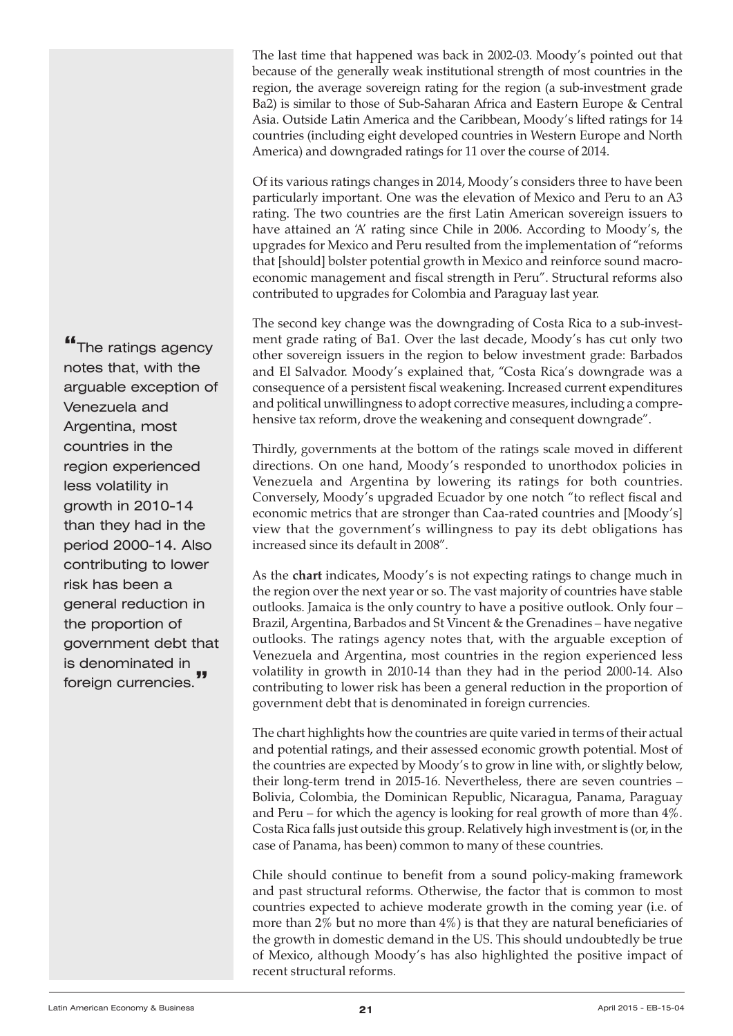The last time that happened was back in 2002-03. Moody's pointed out that because of the generally weak institutional strength of most countries in the region, the average sovereign rating for the region (a sub-investment grade Ba2) is similar to those of Sub-Saharan Africa and Eastern Europe & Central Asia. Outside Latin America and the Caribbean, Moody's lifted ratings for 14 countries (including eight developed countries in Western Europe and North America) and downgraded ratings for 11 over the course of 2014.

Of its various ratings changes in 2014, Moody's considers three to have been particularly important. One was the elevation of Mexico and Peru to an A3 rating. The two countries are the first Latin American sovereign issuers to have attained an 'A' rating since Chile in 2006. According to Moody's, the upgrades for Mexico and Peru resulted from the implementation of "reforms that [should] bolster potential growth in Mexico and reinforce sound macroeconomic management and fiscal strength in Peru". Structural reforms also contributed to upgrades for Colombia and Paraguay last year.

The second key change was the downgrading of Costa Rica to a sub-investment grade rating of Ba1. Over the last decade, Moody's has cut only two other sovereign issuers in the region to below investment grade: Barbados and El Salvador. Moody's explained that, "Costa Rica's downgrade was a consequence of a persistent fiscal weakening. Increased current expenditures and political unwillingness to adopt corrective measures, including a comprehensive tax reform, drove the weakening and consequent downgrade".

Thirdly, governments at the bottom of the ratings scale moved in different directions. On one hand, Moody's responded to unorthodox policies in Venezuela and Argentina by lowering its ratings for both countries. Conversely, Moody's upgraded Ecuador by one notch "to reflect fiscal and economic metrics that are stronger than Caa-rated countries and [Moody's] view that the government's willingness to pay its debt obligations has increased since its default in 2008".

As the **chart** indicates, Moody's is not expecting ratings to change much in the region over the next year or so. The vast majority of countries have stable outlooks. Jamaica is the only country to have a positive outlook. Only four – Brazil, Argentina, Barbados and St Vincent & the Grenadines – have negative outlooks. The ratings agency notes that, with the arguable exception of Venezuela and Argentina, most countries in the region experienced less volatility in growth in 2010-14 than they had in the period 2000-14. Also contributing to lower risk has been a general reduction in the proportion of government debt that is denominated in foreign currencies.

The chart highlights how the countries are quite varied in terms of their actual and potential ratings, and their assessed economic growth potential. Most of the countries are expected by Moody's to grow in line with, or slightly below, their long-term trend in 2015-16. Nevertheless, there are seven countries – Bolivia, Colombia, the Dominican Republic, Nicaragua, Panama, Paraguay and Peru – for which the agency is looking for real growth of more than 4%. Costa Rica falls just outside this group. Relatively high investment is (or, in the case of Panama, has been) common to many of these countries.

Chile should continue to benefit from a sound policy-making framework and past structural reforms. Otherwise, the factor that is common to most countries expected to achieve moderate growth in the coming year (i.e. of more than  $2\%$  but no more than  $4\%$ ) is that they are natural beneficiaries of the growth in domestic demand in the US. This should undoubtedly be true of Mexico, although Moody's has also highlighted the positive impact of recent structural reforms.

**"**The ratings agency notes that, with the arguable exception of Venezuela and Argentina, most countries in the region experienced less volatility in growth in 2010-14 than they had in the period 2000-14. Also contributing to lower risk has been a general reduction in the proportion of government debt that is denominated in foreign currencies.**"**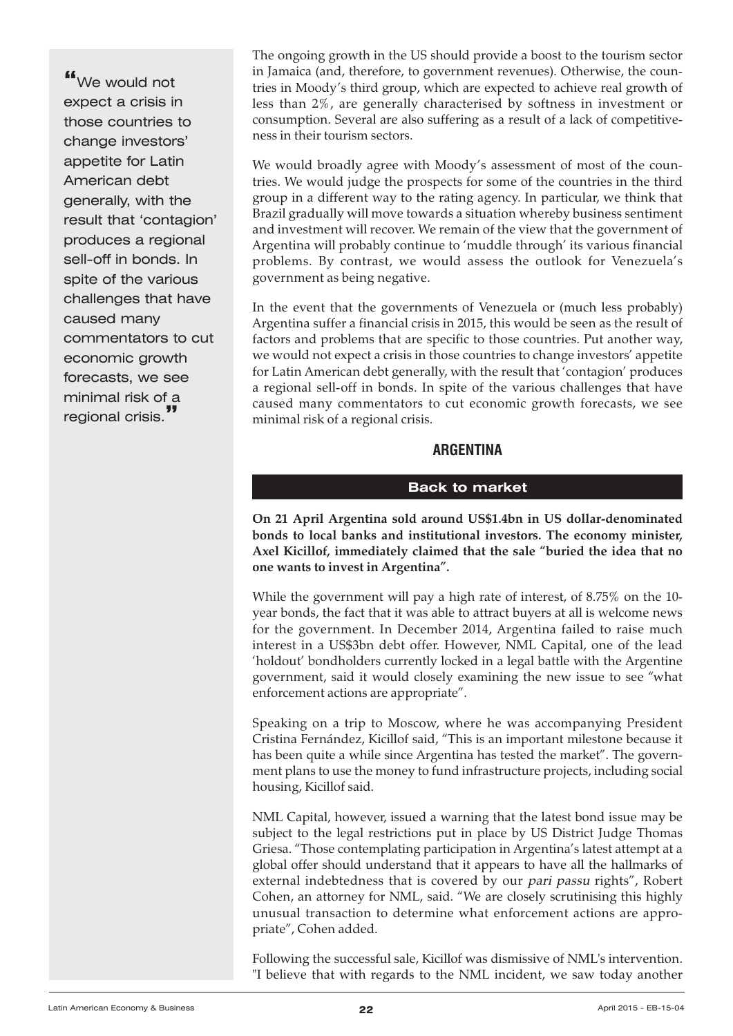<span id="page-21-0"></span>**"**We would not expect a crisis in those countries to change investors' appetite for Latin American debt generally, with the result that 'contagion' produces a regional sell-off in bonds. In spite of the various challenges that have caused many commentators to cut economic growth forecasts, we see minimal risk of a regional crisis.**"**

The ongoing growth in the US should provide a boost to the tourism sector in Jamaica (and, therefore, to government revenues). Otherwise, the countries in Moody's third group, which are expected to achieve real growth of less than 2%, are generally characterised by softness in investment or consumption. Several are also suffering as a result of a lack of competitiveness in their tourism sectors.

We would broadly agree with Moody's assessment of most of the countries. We would judge the prospects for some of the countries in the third group in a different way to the rating agency. In particular, we think that Brazil gradually will move towards a situation whereby business sentiment and investment will recover. We remain of the view that the government of Argentina will probably continue to 'muddle through' its various financial problems. By contrast, we would assess the outlook for Venezuela's government as being negative.

In the event that the governments of Venezuela or (much less probably) Argentina suffer a financial crisis in 2015, this would be seen as the result of factors and problems that are specific to those countries. Put another way, we would not expect a crisis in those countries to change investors' appetite for Latin American debt generally, with the result that 'contagion' produces a regional sell-off in bonds. In spite of the various challenges that have caused many commentators to cut economic growth forecasts, we see minimal risk of a regional crisis.

# **ARGENTINA**

#### **Back to market**

**On 21 April Argentina sold around US\$1.4bn in US dollar-denominated bonds to local banks and institutional investors. The economy minister, Axel Kicillof, immediately claimed that the sale "buried the idea that no one wants to invest in Argentina".**

While the government will pay a high rate of interest, of 8.75% on the 10 year bonds, the fact that it was able to attract buyers at all is welcome news for the government. In December 2014, Argentina failed to raise much interest in a US\$3bn debt offer. However, NML Capital, one of the lead 'holdout' bondholders currently locked in a legal battle with the Argentine government, said it would closely examining the new issue to see "what enforcement actions are appropriate".

Speaking on a trip to Moscow, where he was accompanying President Cristina Fernández, Kicillof said, "This is an important milestone because it has been quite a while since Argentina has tested the market". The government plans to use the money to fund infrastructure projects, including social housing, Kicillof said.

NML Capital, however, issued a warning that the latest bond issue may be subject to the legal restrictions put in place by US District Judge Thomas Griesa. "Those contemplating participation in Argentina's latest attempt at a global offer should understand that it appears to have all the hallmarks of external indebtedness that is covered by our pari passu rights", Robert Cohen, an attorney for NML, said. "We are closely scrutinising this highly unusual transaction to determine what enforcement actions are appropriate", Cohen added.

Following the successful sale, Kicillof was dismissive of NML's intervention. "I believe that with regards to the NML incident, we saw today another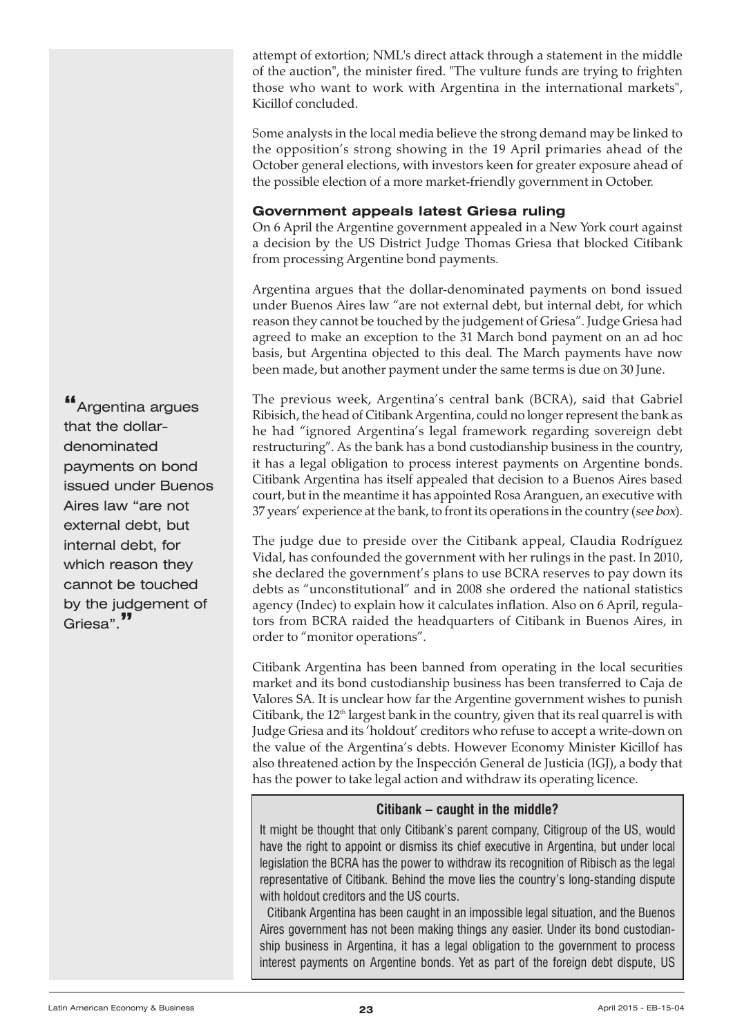attempt of extortion; NML's direct attack through a statement in the middle of the auction", the minister fired. "The vulture funds are trying to frighten those who want to work with Argentina in the international markets", Kicillof concluded.

Some analysts in the local media believe the strong demand may be linked to the opposition's strong showing in the 19 April primaries ahead of the October general elections, with investors keen for greater exposure ahead of the possible election of a more market-friendly government in October.

# **Government appeals latest Griesa ruling**

On 6 April the Argentine government appealed in a New York court against a decision by the US District Judge Thomas Griesa that blocked Citibank from processing Argentine bond payments.

Argentina argues that the dollar-denominated payments on bond issued under Buenos Aires law "are not external debt, but internal debt, for which reason they cannot be touched by the judgement of Griesa". Judge Griesa had agreed to make an exception to the 31 March bond payment on an ad hoc basis, but Argentina objected to this deal. The March payments have now been made, but another payment under the same terms is due on 30 June.

The previous week, Argentina's central bank (BCRA), said that Gabriel Ribisich, the head of Citibank Argentina, could no longer represent the bank as he had "ignored Argentina's legal framework regarding sovereign debt restructuring". As the bank has a bond custodianship business in the country, it has a legal obligation to process interest payments on Argentine bonds. Citibank Argentina has itself appealed that decision to a Buenos Aires based court, but in the meantime it has appointed Rosa Aranguen, an executive with 37 years' experience at the bank, to front its operations in the country (see box).

The judge due to preside over the Citibank appeal, Claudia Rodríguez Vidal, has confounded the government with her rulings in the past. In 2010, she declared the government's plans to use BCRA reserves to pay down its debts as "unconstitutional" and in 2008 she ordered the national statistics agency (Indec) to explain how it calculates inflation. Also on 6 April, regulators from BCRA raided the headquarters of Citibank in Buenos Aires, in order to "monitor operations".

Citibank Argentina has been banned from operating in the local securities market and its bond custodianship business has been transferred to Caja de Valores SA. It is unclear how far the Argentine government wishes to punish Citibank, the 12<sup>th</sup> largest bank in the country, given that its real quarrel is with Judge Griesa and its 'holdout' creditors who refuse to accept a write-down on the value of the Argentina's debts. However Economy Minister Kicillof has also threatened action by the Inspección General de Justicia (IGJ), a body that has the power to take legal action and withdraw its operating licence.

# **Citibank – caught in the middle?**

It might be thought that only Citibank's parent company, Citigroup of the US, would have the right to appoint or dismiss its chief executive in Argentina, but under local legislation the BCRA has the power to withdraw its recognition of Ribisch as the legal representative of Citibank. Behind the move lies the country's long-standing dispute with holdout creditors and the US courts.

Citibank Argentina has been caught in an impossible legal situation, and the Buenos Aires government has not been making things any easier. Under its bond custodianship business in Argentina, it has a legal obligation to the government to process interest payments on Argentine bonds. Yet as part of the foreign debt dispute, US

**"**Argentina argues that the dollardenominated payments on bond issued under Buenos Aires law "are not external debt, but internal debt, for which reason they cannot be touched by the judgement of Griesa".**"**